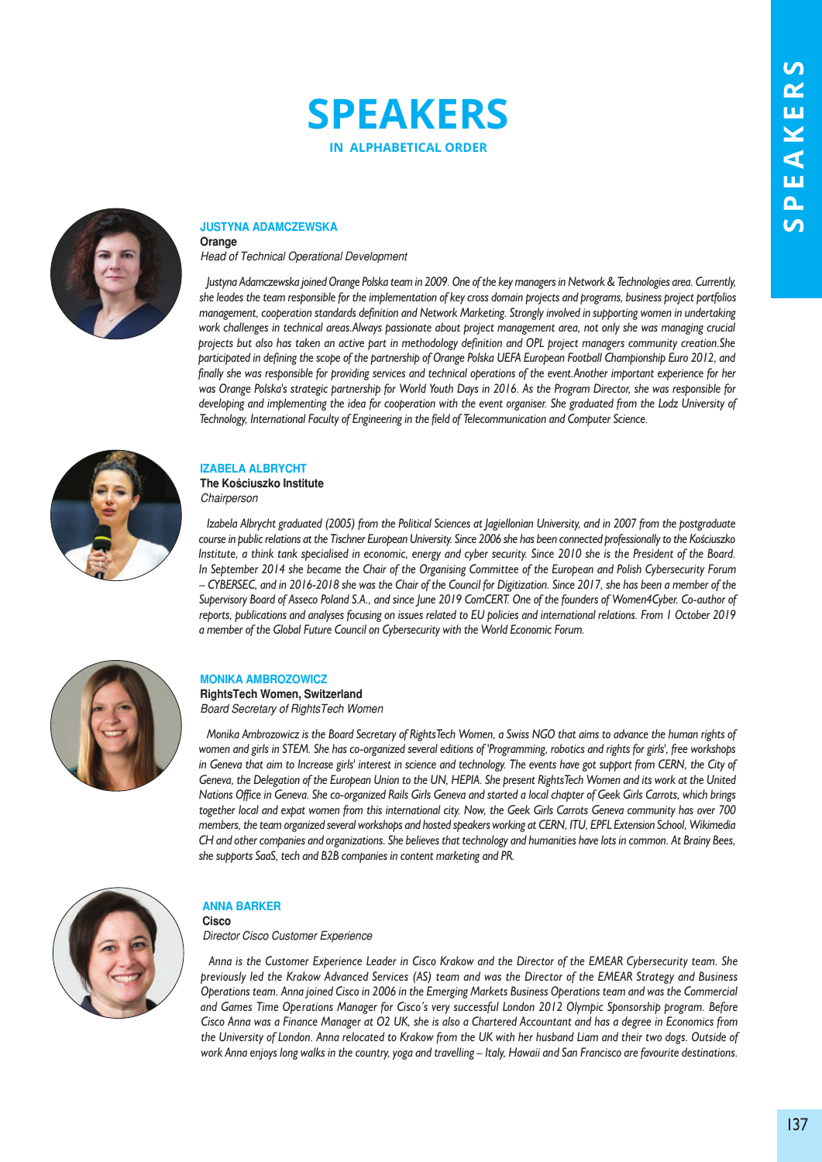



#### **JustynA AdAmCzewskA Orange**

*Head of Technical Operational Development*

*Justyna Adamczewska joined Orange Polska team in 2009. One of the key managers in Network & Technologies area. Currently, she leades the team responsible for the implementation of key cross domain projects and programs, business project portfolios management, cooperation standards definition and Network Marketing. Strongly involved in supporting women in undertaking work challenges in technical areas.Always passionate about project management area, not only she was managing crucial projects but also has taken an active part in methodology definition and OPL project managers community creation.She participated in defining the scope of the partnership of Orange Polska UEFA European Football Championship Euro 2012, and finally she was responsible for providing services and technical operations of the event.Another important experience for her was Orange Polska's strategic partnership for World Youth Days in 2016. As the Program Director, she was responsible for developing and implementing the idea for cooperation with the event organiser. She graduated from the Lodz University of Technology, International Faculty of Engineering in the field of Telecommunication and Computer Science.*



### **izABelA AlBryCht the kościuszko institute**

*Chairperson*

*Izabela Albrycht graduated (2005) from the Political Sciences at Jagiellonian University, and in 2007 from the postgraduate course in public relations at the Tischner European University. Since 2006 she has been connected professionally to the Kościuszko Institute, a think tank specialised in economic, energy and cyber security. Since 2010 she is the President of the Board. In September 2014 she became the Chair of the Organising Committee of the European and Polish Cybersecurity Forum – CYBERSEC, and in 2016-2018 she was the Chair of the Council for Digitization. Since 2017, she has been a member of the Supervisory Board of Asseco Poland S.A., and since June 2019 ComCERT. One of the founders of Women4Cyber. Co-author of reports, publications and analyses focusing on issues related to EU policies and international relations. From 1 October 2019 a member of the Global Future Council on Cybersecurity with the World Economic Forum.* 



## **mOnikA AmBrOzOwiCz**

**rightstech women, switzerland** *Board Secretary of RightsTech Women*

*Monika Ambrozowicz is the Board Secretary of RightsTech Women, a Swiss NGO that aims to advance the human rights of women and girls in STEM. She has co-organized several editions of 'Programming, robotics and rights for girls', free workshops in Geneva that aim to Increase girls' interest in science and technology. The events have got support from CERN, the City of Geneva, the Delegation of the European Union to the UN, HEPIA. She present RightsTech Women and its work at the United Nations Office in Geneva. She co-organized Rails Girls Geneva and started a local chapter of Geek Girls Carrots, which brings together local and expat women from this international city. Now, the Geek Girls Carrots Geneva community has over 700 members, the team organized several workshops and hosted speakers working at CERN, ITU, EPFL Extension School, Wikimedia CH and other companies and organizations. She believes that technology and humanities have lots in common. At Brainy Bees, she supports SaaS, tech and B2B companies in content marketing and PR.* 



#### **AnnA BArker Cisco**

*Director Cisco Customer Experience* 

*Anna is the Customer Experience Leader in Cisco Krakow and the Director of the EMEAR Cybersecurity team. She previously led the Krakow Advanced Services (AS) team and was the Director of the EMEAR Strategy and Business Operations team. Anna joined Cisco in 2006 in the Emerging Markets Business Operations team and was the Commercial and Games Time Operations Manager for Cisco's very successful London 2012 Olympic Sponsorship program. Before Cisco Anna was a Finance Manager at O2 UK, she is also a Chartered Accountant and has a degree in Economics from the University of London. Anna relocated to Krakow from the UK with her husband Liam and their two dogs. Outside of work Anna enjoys long walks in the country, yoga and travelling – Italy, Hawaii and San Francisco are favourite destinations.*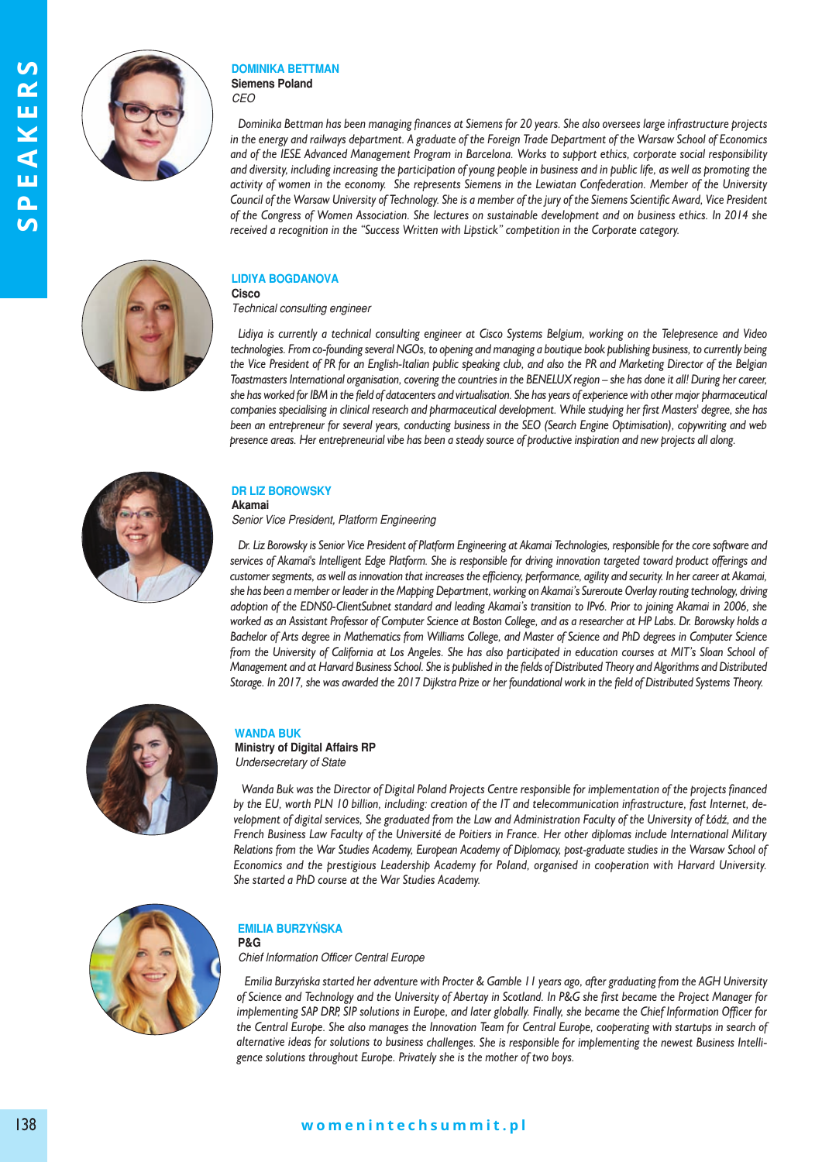



#### **dOminikA BettmAn siemens Poland** *CEO*

*Dominika Bettman has been managing finances at Siemens for 20 years. She also oversees large infrastructure projects in the energy and railways department. A graduate of the Foreign Trade Department of the Warsaw School of Economics and of the IESE Advanced Management Program in Barcelona. Works to support ethics, corporate social responsibility and diversity, including increasing the participation of young people in business and in public life, as well as promoting the activity of women in the economy. She represents Siemens in the Lewiatan Confederation. Member of the University Council of the Warsaw University of Technology. She is a member of the jury of the Siemens Scientific Award, Vice President of the Congress of Women Association. She lectures on sustainable development and on business ethics. In 2014 she received a recognition in the "Success Written with Lipstick" competition in the Corporate category.* 



## **lidiyA BOGdAnOVA**

**Cisco** *Technical consulting engineer* 

*Lidiya is currently a technical consulting engineer at Cisco Systems Belgium, working on the Telepresence and Video technologies. From co-founding several NGOs, to opening and managing a boutique book publishing business, to currently being the Vice President of PR for an English-Italian public speaking club, and also the PR and Marketing Director of the Belgian Toastmasters International organisation, covering the countries in the BENELUX region – she has done it all! During her career, she has worked for IBM in the field of datacenters and virtualisation. She has years of experience with other major pharmaceutical companies specialising in clinical research and pharmaceutical development. While studying her first Masters' degree, she has been an entrepreneur for several years, conducting business in the SEO (Search Engine Optimisation), copywriting and web presence areas. Her entrepreneurial vibe has been a steady source of productive inspiration and new projects all along.* 



## **dr liz BOrOwsky**

**Akamai**

*Senior Vice President, Platform Engineering* 

*Dr. Liz Borowsky is Senior Vice President of Platform Engineering at Akamai Technologies, responsible for the core software and services of Akamai's Intelligent Edge Platform. She is responsible for driving innovation targeted toward product offerings and customer segments, as well as innovation that increases the efficiency, performance, agility and security. In her career at Akamai, she has been a member or leader in the Mapping Department, working on Akamai's Sureroute Overlay routing technology, driving adoption of the EDNS0-ClientSubnet standard and leading Akamai's transition to IPv6. Prior to joining Akamai in 2006, she worked as an Assistant Professor of Computer Science at Boston College, and as a researcher at HP Labs. Dr. Borowsky holds a Bachelor of Arts degree in Mathematics from Williams College, and Master of Science and PhD degrees in Computer Science from the University of California at Los Angeles. She has also participated in education courses at MIT's Sloan School of Management and at Harvard Business School. She is published in the fields of Distributed Theory and Algorithms and Distributed Storage. In 2017, she was awarded the 2017 Dijkstra Prize or her foundational work in the field of Distributed Systems Theory.*



# **wAndA Buk**

**Ministry of Digital Affairs RP** *Undersecretary of State*

*Wanda Buk was the Director of Digital Poland Projects Centre responsible for implementation of the projects financed by the EU, worth PLN 10 billion, including: creation of the IT and telecommunication infrastructure, fast Internet, development of digital services, She graduated from the Law and Administration Faculty of the University of Łódź, and the* French Business Law Faculty of the Université de Poitiers in France. Her other diplomas include International Military Relations from the War Studies Academy, European Academy of Diplomacy, post-graduate studies in the Warsaw School of *Economics and the prestigious Leadership Academy for Poland, organised in cooperation with Harvard University.* She started a PhD course at the War Studies Academy.



## **emiliA BurzyńskA**

**P&G** *Chief Information Officer Central Europe*

*Emilia Burzyńska star ted her ad ven tu re with Proc ter & Gam ble 11 years ago, after gra du ating from the AGH University of Science and Technology and the University of Abertay in Scotland. In P&G she first became the Project Manager for implementing SAP DRP, SIP solutions in Europe, and later globally. Finally, she became the Chief Information Officer for* the Central Europe. She also manages the Innovation Team for Central Europe, cooperating with startups in search of alternative ideas for solutions to business challenges. She is responsible for implementing the newest Business Intelligence solutions throughout Europe. Privately she is the mother of two boys.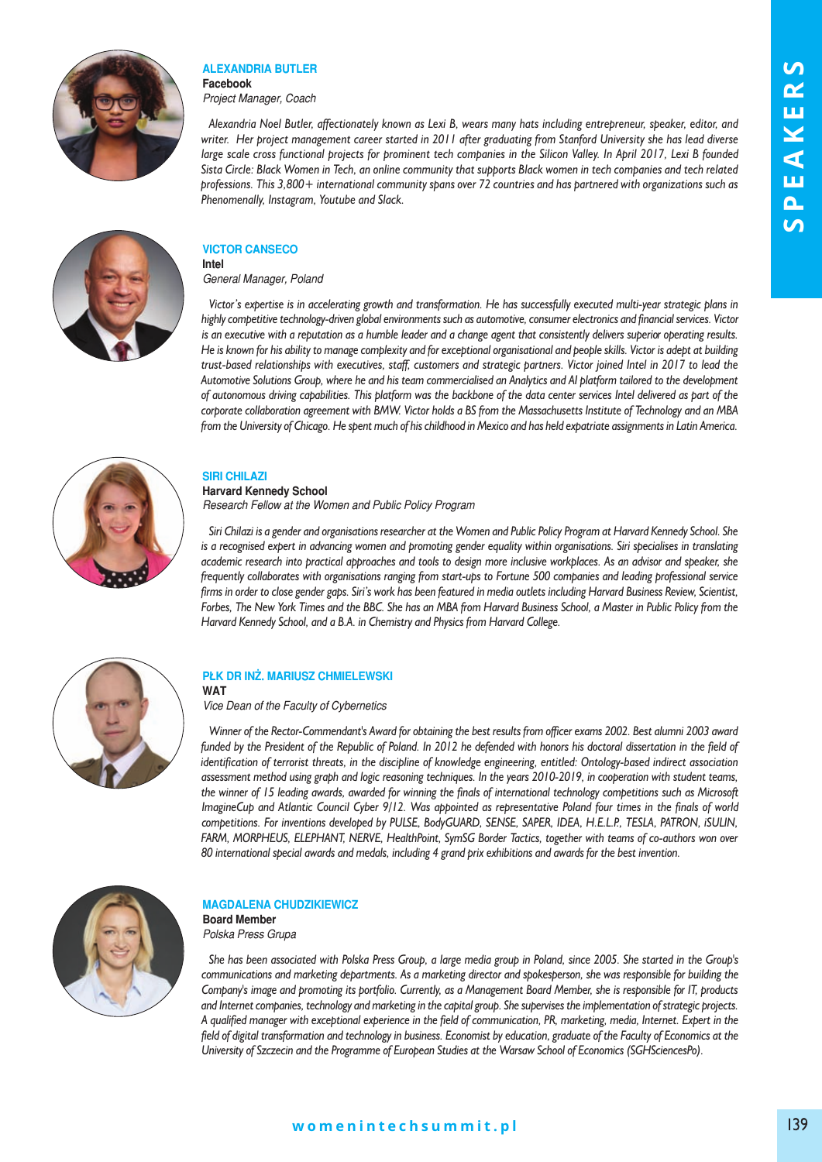

### **AlexAndriA Butler Facebook**

*Project Manager, Coach* 

*Alexandria Noel Butler, affectionately known as Lexi B, wears many hats including entrepreneur, speaker, editor, and writer. Her project management career started in 2011 after graduating from Stanford University she has lead diverse large scale cross functional projects for prominent tech companies in the Silicon Valley. In April 2017, Lexi B founded Sista Circle: Black Women in Tech, an online community that supports Black women in tech companies and tech related professions. This 3,800+ international community spans over 72 countries and has partnered with organizations such as Phenomenally, Instagram, Youtube and Slack.*

#### **ViCtOr CAnseCO intel**

*General Manager, Poland* 

*Victor's expertise is in accelerating growth and transformation. He has successfully executed multi-year strategic plans in highly competitive technology-driven global environments such as automotive, consumer electronics and financial services. Victor is an executive with a reputation as a humble leader and a change agent that consistently delivers superior operating results. He is known for his ability to manage complexity and for exceptional organisational and people skills. Victor is adept at building trust-based relationships with executives, staff, customers and strategic partners. Victor joined Intel in 2017 to lead the Automotive Solutions Group, where he and his team commercialised an Analytics and AI platform tailored to the development of autonomous driving capabilities. This platform was the backbone of the data center services Intel delivered as part of the corporate collaboration agreement with BMW. Victor holds a BS from the Massachusetts Institute of Technology and an MBA from the University of Chicago. He spent much of his childhood in Mexico and has held expatriate assignments in Latin America.* 



# **siri ChilAzi**

**harvard kennedy school** *Research Fellow at the Women and Public Policy Program* 

*Siri Chilazi is a gender and organisations researcher at the Women and Public Policy Program at Harvard Kennedy School. She is a recognised expert in advancing women and promoting gender equality within organisations. Siri specialises in translating academic research into practical approaches and tools to design more inclusive workplaces. As an advisor and speaker, she frequently collaborates with organisations ranging from start-ups to Fortune 500 companies and leading professional service firms in order to close gender gaps. Siri's work has been featured in media outlets including Harvard Business Review, Scientist, Forbes, The New York Times and the BBC. She has an MBA from Harvard Business School, a Master in Public Policy from the Harvard Kennedy School, and a B.A. in Chemistry and Physics from Harvard College.*



#### **Płk dr inż. mAriusz Chmielewski wAt**

*Vice Dean of the Faculty of Cybernetics*

*Winner of the Rector-Commendant's Award for obtaining the best results from officer exams 2002. Best alumni 2003 award funded by the President of the Republic of Poland. In 2012 he defended with honors his doctoral dissertation in the field of identification of terrorist threats, in the discipline of knowledge engineering, entitled: Ontology-based indirect association assessment method using graph and logic reasoning techniques. In the years 2010-2019, in cooperation with student teams, the winner of 15 leading awards, awarded for winning the finals of international technology competitions such as Microsoft ImagineCup and Atlantic Council Cyber 9/12. Was appointed as representative Poland four times in the finals of world competitions. For inventions developed by PULSE, BodyGUARD, SENSE, SAPER, IDEA, H.E.L.P., TESLA, PATRON, iSULIN, FARM, MORPHEUS, ELEPHANT, NERVE, HealthPoint, SymSG Border Tactics, together with teams of co-authors won over 80 international special awards and medals, including 4 grand prix exhibitions and awards for the best invention.* 



## **mAGdAlenA ChudzikiewiCz**

**Board member**  *Polska Press Grupa* 

*She has been associated with Polska Press Group, a large media group in Poland, since 2005. She started in the Group's communications and marketing departments. As a marketing director and spokesperson, she was responsible for building the Company's image and promoting its portfolio. Currently, as a Management Board Member, she is responsible for IT, products and Internet companies, technology and marketing in the capital group. She supervises the implementation of strategic projects. A qualified manager with exceptional experience in the field of communication, PR, marketing, media, Internet. Expert in the field of digital transformation and technology in business. Economist by education, graduate of the Faculty of Economics at the University of Szczecin and the Programme of European Studies at the Warsaw School of Economics (SGHSciencesPo).*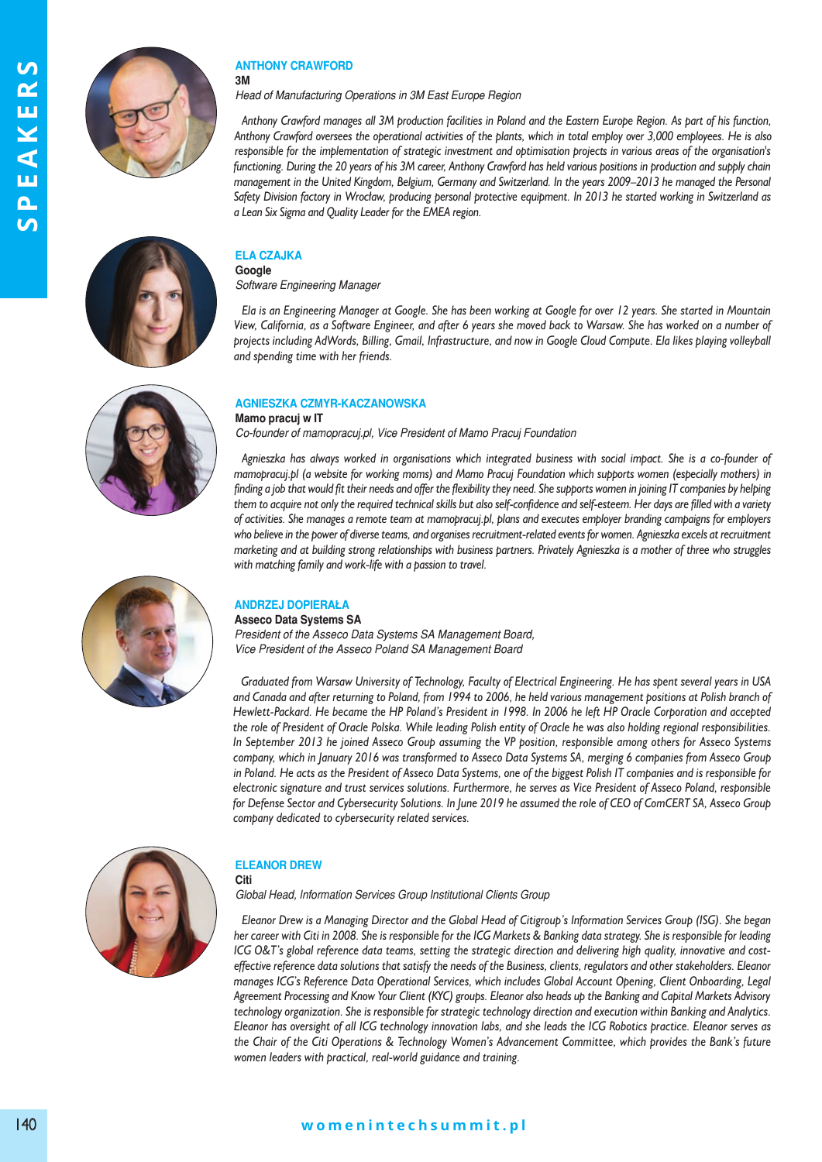



#### **AnthOny CrAwFOrd 3m**

*Head of Manufacturing Operations in 3M East Europe Region* 

*Anthony Crawford manages all 3M production facilities in Poland and the Eastern Europe Region. As part of his function, Anthony Crawford oversees the operational activities of the plants, which in total employ over 3,000 employees. He is also responsible for the implementation of strategic investment and optimisation projects in various areas of the organisation's functioning. During the 20 years of his 3M career, Anthony Crawford has held various positions in production and supply chain management in the United Kingdom, Belgium, Germany and Switzerland. In the years 2009–2013 he managed the Personal Safety Division factory in Wrocław, producing personal protective equipment. In 2013 he started working in Switzerland as a Lean Six Sigma and Quality Leader for the EMEA region.*



### **elA CzAJkA**

**Google** *Software Engineering Manager* 

*Ela is an Engineering Manager at Google. She has been working at Google for over 12 years. She started in Mountain View, California, as a Software Engineer, and after 6 years she moved back to Warsaw. She has worked on a number of projects including AdWords, Billing, Gmail, Infrastructure, and now in Google Cloud Compute. Ela likes playing volleyball and spending time with her friends.*

## **AGnieszkA Czmyr-kACzAnOwskA**

**mamo pracuj w it** *Co-founder of mamopracuj.pl, Vice President of Mamo Pracuj Foundation* 

*Agnieszka has always worked in organisations which integrated business with social impact. She is a co-founder of mamopracuj.pl (a website for working moms) and Mamo Pracuj Foundation which supports women (especially mothers) in finding a job that would fit their needs and offer the flexibility they need. She supports women in joining IT companies by helping them to acquire not only the required technical skills but also self-confidence and self-esteem. Her days are filled with a variety of activities. She manages a remote team at mamopracuj.pl, plans and executes employer branding campaigns for employers who believe in the power of diverse teams, and organises recruitment-related events for women. Agnieszka excels at recruitment marketing and at building strong relationships with business partners. Privately Agnieszka is a mother of three who struggles with matching family and work-life with a passion to travel.*



## **AndrzeJ dOPierAłA**

**Asseco Data Systems SA** *President of the Asseco Data Systems SA Management Board, Vice President of the Asseco Poland SA Management Board* 

*Graduated from Warsaw University of Technology, Faculty of Electrical Engineering. He has spent several years in USA and Canada and after returning to Poland, from 1994 to 2006, he held various management positions at Polish branch of Hewlett-Packard. He became the HP Poland's President in 1998. In 2006 he left HP Oracle Corporation and accepted the role of President of Oracle Polska. While leading Polish entity of Oracle he was also holding regional responsibilities. In September 2013 he joined Asseco Group assuming the VP position, responsible among others for Asseco Systems company, which in January 2016 was transformed to Asseco Data Systems SA, merging 6 companies from Asseco Group in Poland. He acts as the President of Asseco Data Systems, one of the biggest Polish IT companies and is responsible for electronic signature and trust services solutions. Furthermore, he serves as Vice President of Asseco Poland, responsible for Defense Sector and Cybersecurity Solutions. In June 2019 he assumed the role of CEO of ComCERT SA, Asseco Group company dedicated to cybersecurity related services.*



## **eleAnOr drew**

**Citi**

*Global Head, Information Services Group Institutional Clients Group* 

*Eleanor Drew is a Managing Director and the Global Head of Citigroup's Information Services Group (ISG). She began her career with Citi in 2008. She is responsible for the ICG Markets & Banking data strategy. She is responsible for leading ICG O&T's global reference data teams, setting the strategic direction and delivering high quality, innovative and costeffective reference data solutions that satisfy the needs of the Business, clients, regulators and other stakeholders. Eleanor manages ICG's Reference Data Operational Services, which includes Global Account Opening, Client Onboarding, Legal Agreement Processing and Know Your Client (KYC) groups. Eleanor also heads up the Banking and Capital Markets Advisory technology organization. She is responsible for strategic technology direction and execution within Banking and Analytics. Eleanor has oversight of all ICG technology innovation labs, and she leads the ICG Robotics practice. Eleanor serves as the Chair of the Citi Operations & Technology Women's Advancement Committee, which provides the Bank's future women leaders with practical, real-world guidance and training.*

## **w o m e n i n t e c h s u m m i t . p l** 140 **w o m e n i n t e c h s u m m i t . p l**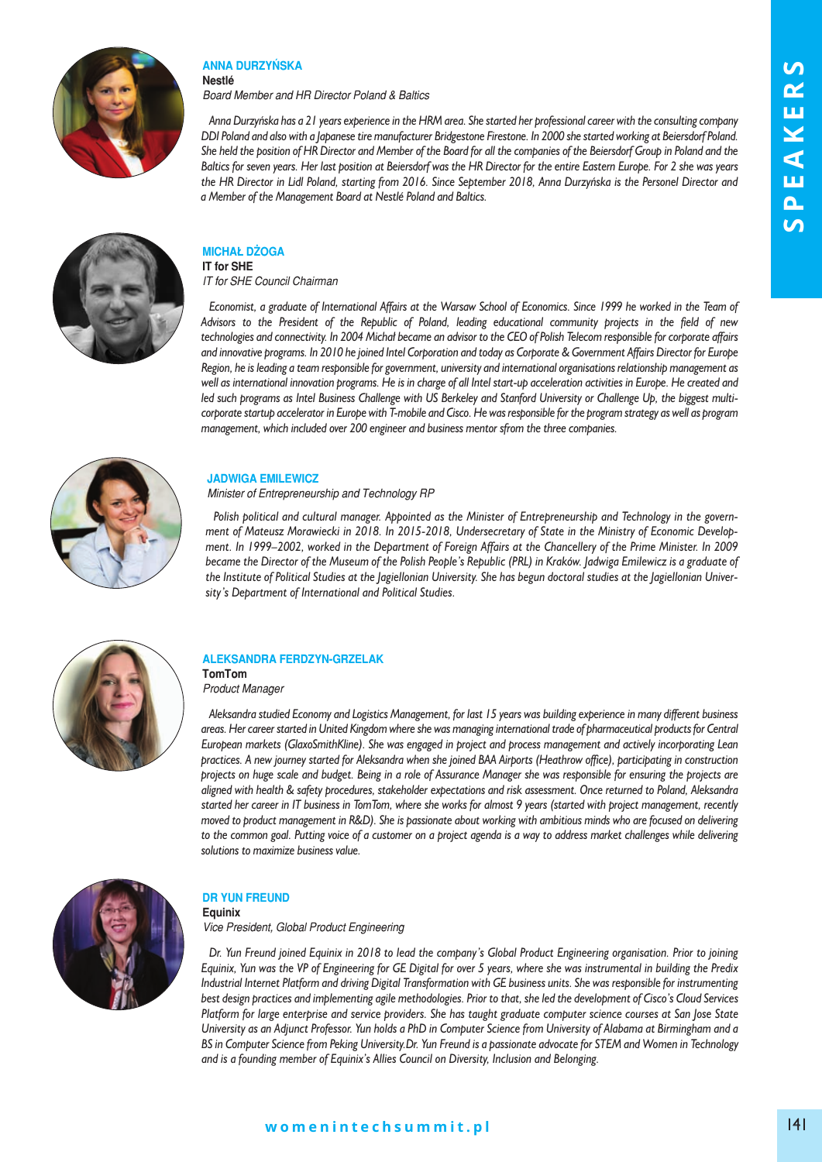

#### **AnnA durzyńskA nestlé**

*Board Member and HR Director Poland & Baltics* 

*Anna Durzyńska has a 21 years experience in the HRM area. She started her professional career with the consulting company DDI Poland and also with a Japanese tire manufacturer Bridgestone Firestone. In 2000 she started working at Beiersdorf Poland. She held the position of HR Director and Member of the Board for all the companies of the Beiersdorf Group in Poland and the Baltics for seven years. Her last position at Beiersdorf was the HR Director for the entire Eastern Europe. For 2 she was years the HR Director in Lidl Poland, starting from 2016. Since September 2018, Anna Durzyńska is the Personel Director and a Member of the Management Board at Nestlé Poland and Baltics.*



#### **miChAł dżOGA iT for SHE**

*IT for SHE Council Chairman* 

*Economist, a graduate of International Affairs at the Warsaw School of Economics. Since 1999 he worked in the Team of Advisors to the President of the Republic of Poland, leading educational community projects in the field of new technologies and connectivity. In 2004 Michał became an advisor to the CEO of Polish Telecom responsible for corporate affairs and innovative programs. In 2010 he joined Intel Corporation and today as Corporate & Government Affairs Director for Europe Region, he is leading a team responsible for government, university and international organisations relationship management as well as international innovation programs. He is in charge of all Intel start-up acceleration activities in Europe. He created and led such programs as Intel Business Challenge with US Berkeley and Stanford University or Challenge Up, the biggest multicorporate startup accelerator in Europe with T-mobile and Cisco. He was responsible for the program strategy as well as program management, which included over 200 engineer and business mentor sfrom the three companies.*



## **JAdwiGA emilewiCz**

*Minister of Entrepreneurship and Technology RP*

Polish political and cultural manager. Appointed as the Minister of Entrepreneurship and Technology in the govern*ment of Mateusz Morawiecki in 2018. In 2015-2018, Undersecretary of State in the Ministry of Economic Develop*ment. In 1999–2002, worked in the Department of Foreign Affairs at the Chancellery of the Prime Minister. In 2009 became the Director of the Museum of the Polish People's Republic (PRL) in Kraków. Jadwiga Emilewicz is a graduate of the Institute of Political Studies at the *Jagiellonian University.* She has begun doctoral studies at the *Jagiellonian Univer*sity's Department of International and Political Studies.



### **AleksAndrA Ferdzyn-GrzelAk tomtom**

*Product Manager* 

*Aleksandra studied Economy and Logistics Management, for last 15 years was building experience in many different business areas. Her career started in United Kingdom where she was managing international trade of pharmaceutical products for Central European markets (GlaxoSmithKline). She was engaged in project and process management and actively incorporating Lean practices. A new journey started for Aleksandra when she joined BAA Airports (Heathrow office), participating in construction projects on huge scale and budget. Being in a role of Assurance Manager she was responsible for ensuring the projects are aligned with health & safety procedures, stakeholder expectations and risk assessment. Once returned to Poland, Aleksandra started her career in IT business in TomTom, where she works for almost 9 years (started with project management, recently moved to product management in R&D). She is passionate about working with ambitious minds who are focused on delivering to the common goal. Putting voice of a customer on a project agenda is a way to address market challenges while delivering solutions to maximize business value.*



### **dr yun Freund equinix**

*Vice President, Global Product Engineering* 

*Dr. Yun Freund joined Equinix in 2018 to lead the company's Global Product Engineering organisation. Prior to joining Equinix, Yun was the VP of Engineering for GE Digital for over 5 years, where she was instrumental in building the Predix Industrial Internet Platform and driving Digital Transformation with GE business units. She was responsible for instrumenting best design practices and implementing agile methodologies. Prior to that, she led the development of Cisco's Cloud Services Platform for large enterprise and service providers. She has taught graduate computer science courses at San Jose State University as an Adjunct Professor. Yun holds a PhD in Computer Science from University of Alabama at Birmingham and a BS in Computer Science from Peking University.Dr. Yun Freund is a passionate advocate for STEM and Women in Technology and is a founding member of Equinix's Allies Council on Diversity, Inclusion and Belonging.*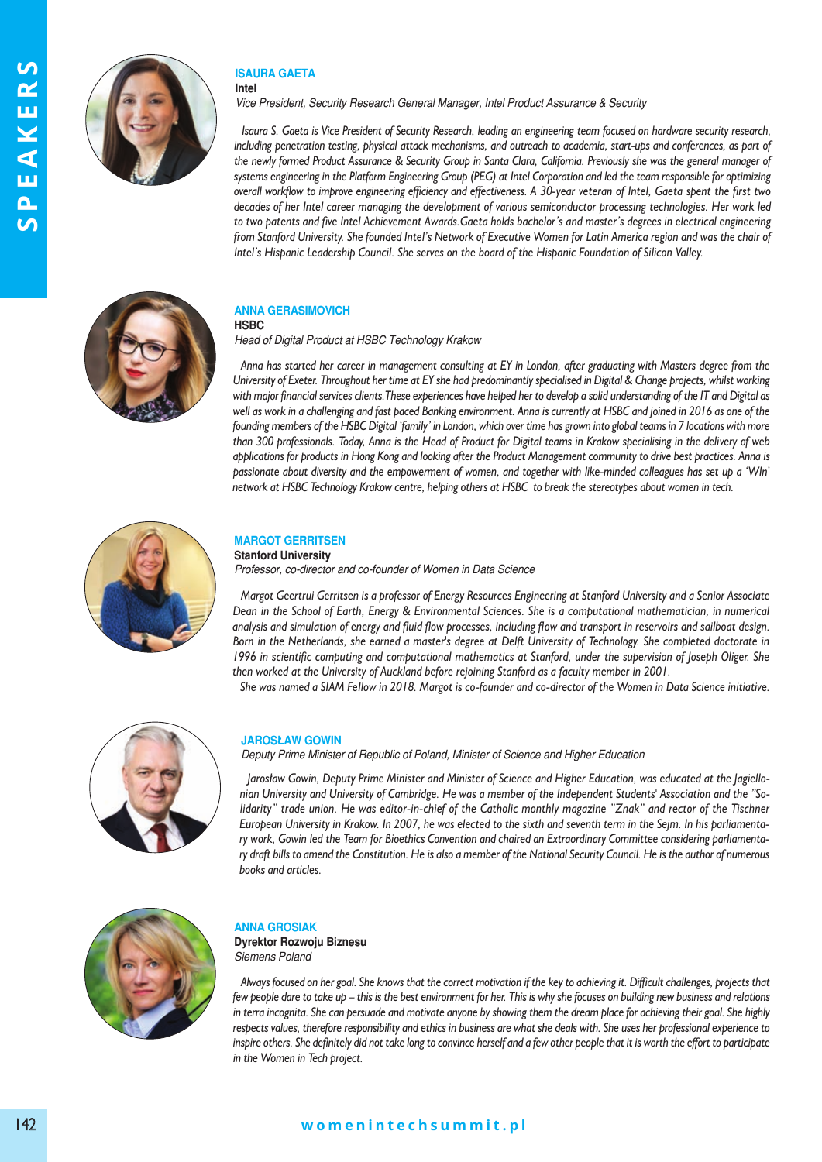

#### **isAurA GAetA intel**

*Vice President, Security Research General Manager, Intel Product Assurance & Security* 

*Isaura S. Gaeta is Vice President of Security Research, leading an engineering team focused on hardware security research, including penetration testing, physical attack mechanisms, and outreach to academia, start-ups and conferences, as part of the newly formed Product Assurance & Security Group in Santa Clara, California. Previously she was the general manager of systems engineering in the Platform Engineering Group (PEG) at Intel Corporation and led the team responsible for optimizing overall workflow to improve engineering efficiency and effectiveness. A 30-year veteran of Intel, Gaeta spent the first two decades of her Intel career managing the development of various semiconductor processing technologies. Her work led to two patents and five Intel Achievement Awards.Gaeta holds bachelor's and master's degrees in electrical engineering from Stanford University. She founded Intel's Network of Executive Women for Latin America region and was the chair of Intel's Hispanic Leadership Council. She serves on the board of the Hispanic Foundation of Silicon Valley.* 



#### **AnnA GerAsimOViCh hsBC**

*Head of Digital Product at HSBC Technology Krakow*

*Anna has started her career in management consulting at EY in London, after graduating with Masters degree from the University of Exeter. Throughout her time at EY she had predominantly specialised in Digital & Change projects, whilst working with major financial services clients.These experiences have helped her to develop a solid understanding of the IT and Digital as well as work in a challenging and fast paced Banking environment. Anna is currently at HSBC and joined in 2016 as one of the founding members of the HSBC Digital 'family' in London, which over time has grown into global teams in 7 locations with more than 300 professionals. Today, Anna is the Head of Product for Digital teams in Krakow specialising in the delivery of web applications for products in Hong Kong and looking after the Product Management community to drive best practices. Anna is passionate about diversity and the empowerment of women, and together with like-minded colleagues has set up a 'WIn' network at HSBC Technology Krakow centre, helping others at HSBC to break the stereotypes about women in tech.*



## **mArGOt Gerritsen**

### **Stanford University**

*Professor, co-director and co-founder of Women in Data Science* 

*Margot Geertrui Gerritsen is a professor of Energy Resources Engineering at Stanford University and a Senior Associate Dean in the School of Earth, Energy & Environmental Sciences. She is a computational mathematician, in numerical analysis and simulation of energy and fluid flow processes, including flow and transport in reservoirs and sailboat design. Born in the Netherlands, she earned a master's degree at Delft University of Technology. She completed doctorate in 1996 in scientific computing and computational mathematics at Stanford, under the supervision of Joseph Oliger. She then worked at the University of Auckland before rejoining Stanford as a faculty member in 2001. She was named a SIAM Fellow in 2018. Margot is co-founder and co-director of the Women in Data Science initiative.*



### **JArOsłAw GOwin**

*Deputy Prime Minister of Republic of Poland, Minister of Science and Higher Education* 

Jarosław Gowin, Deputy Prime Minister and Minister of Science and Higher Education, was educated at the Jagiello*nian University and University of Cambridge. He was a member of the Independent Students' Association and the "Solidarity*" trade union. He was editor-in-chief of the Catholic monthly magazine "Znak" and rector of the Tischner *European University in Krakow. In 2007, he was elected to the sixth and seventh term in the Sejm. In his parliamentary work, Gowin led the Team for Bioethics Convention and chaired an Extraordinary Committee considering parliamentary draft bills to amend the Constitution. He is also a member of the National Security Council. He is the author of numerous* books and articles.



## **AnnA GrOsiAk**

**Dyrektor Rozwoju Biznesu** *Siemens Poland* 

*Always focused on her goal. She knows that the correct motivation if the key to achieving it. Difficult challenges, projects that few people dare to take up – this is the best environment for her. This is why she focuses on building new business and relations in terra incognita. She can persuade and motivate anyone by showing them the dream place for achieving their goal. She highly respects values, therefore responsibility and ethics in business are what she deals with. She uses her professional experience to inspire others. She definitely did not take long to convince herself and a few other people that it is worth the effort to participate in the Women in Tech project.*

# **w o m e n i n t e c h s u m m i t . p l** 142 **w o m e n i n t e c h s u m m i t . p l**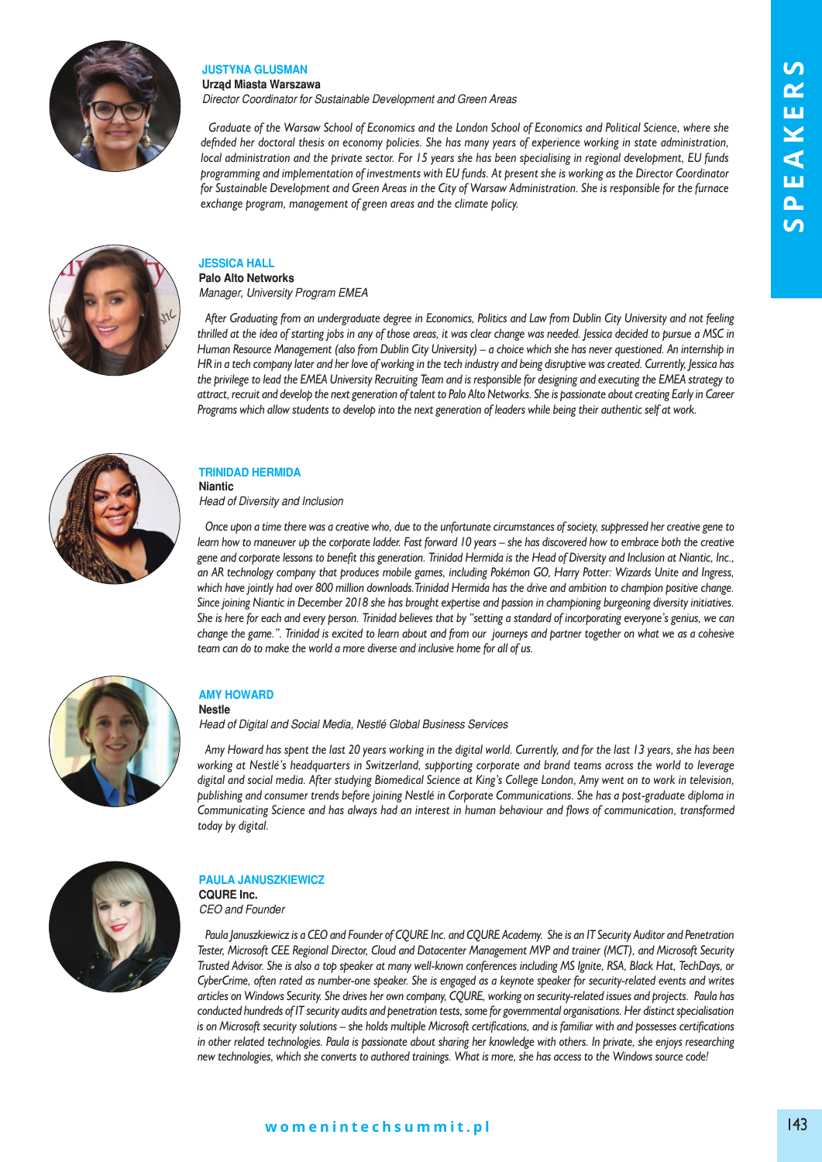

## **JUSTYNA GLUSMAN**

**urząd miasta warszawa**

*Director Coordinator for Sustainable Development and Green Areas* 

*Graduate of the Warsaw School of Economics and the London School of Economics and Political Science, where she defnded her doctoral thesis on economy policies. She has many years of experience working in state administration, local administration and the private sector. For 15 years she has been specialising in regional development, EU funds programming and implementation of investments with EU funds. At present she is working as the Director Coordinator for Sustainable Development and Green Areas in the City of Warsaw Administration. She is responsible for the furnace exchange program, management of green areas and the climate policy.*



## **JessiCA hAll Palo Alto Networks**

*Manager, University Program EMEA*

*After Graduating from an undergraduate degree in Economics, Politics and Law from Dublin City University and not feeling thrilled at the idea of starting jobs in any of those areas, it was clear change was needed. Jessica decided to pursue a MSC in Human Resource Management (also from Dublin City University) – a choice which she has never questioned. An internship in HR in a tech company later and her love of working in the tech industry and being disruptive was created. Currently, Jessica has the privilege to lead the EMEA University Recruiting Team and is responsible for designing and executing the EMEA strategy to attract, recruit and develop the next generation of talent to Palo Alto Networks. She is passionate about creating Early in Career Programs which allow students to develop into the next generation of leaders while being their authentic self at work.* 



### **trinidAd hermidA niantic**

*Head of Diversity and Inclusion* 

*Once upon a time there was a creative who, due to the unfortunate circumstances of society, suppressed her creative gene to learn how to maneuver up the corporate ladder. Fast forward 10 years – she has discovered how to embrace both the creative gene and corporate lessons to benefit this generation. Trinidad Hermida is the Head of Diversity and Inclusion at Niantic, Inc., an AR technology company that produces mobile games, including Pokémon GO, Harry Potter: Wizards Unite and Ingress, which have jointly had over 800 million downloads.Trinidad Hermida has the drive and ambition to champion positive change. Since joining Niantic in December 2018 she has brought expertise and passion in championing burgeoning diversity initiatives. She is here for each and every person. Trinidad believes that by "setting a standard of incorporating everyone's genius, we can change the game.". Trinidad is excited to learn about and from our journeys and partner together on what we as a cohesive team can do to make the world a more diverse and inclusive home for all of us.* 



#### **Amy hOwArd nestle**

*Head of Digital and Social Media, Nestlé Global Business Services* 

*Amy Howard has spent the last 20 years working in the digital world. Currently, and for the last 13 years, she has been working at Nestlé's headquarters in Switzerland, supporting corporate and brand teams across the world to leverage digital and social media. After studying Biomedical Science at King's College London, Amy went on to work in television, publishing and consumer trends before joining Nestlé in Corporate Communications. She has a post-graduate diploma in Communicating Science and has always had an interest in human behaviour and flows of communication, transformed today by digital.*



# **PAulA JAnuszkiewiCz**

**CQURE Inc.** *CEO and Founder* 

*Paula Januszkiewicz is a CEO and Founder of CQURE Inc. and CQURE Academy. She is an IT Security Auditor and Penetration Tester, Microsoft CEE Regional Director, Cloud and Datacenter Management MVP and trainer (MCT), and Microsoft Security Trusted Advisor. She is also a top speaker at many well-known conferences including MS Ignite, RSA, Black Hat, TechDays, or CyberCrime, often rated as number-one speaker. She is engaged as a keynote speaker for security-related events and writes articles on Windows Security. She drives her own company, CQURE, working on security-related issues and projects. Paula has conducted hundreds of IT security audits and penetration tests, some for governmental organisations. Her distinct specialisation is on Microsoft security solutions – she holds multiple Microsoft certifications, and is familiar with and possesses certifications in other related technologies. Paula is passionate about sharing her knowledge with others. In private, she enjoys researching new technologies, which she converts to authored trainings. What is more, she has access to the Windows source code!*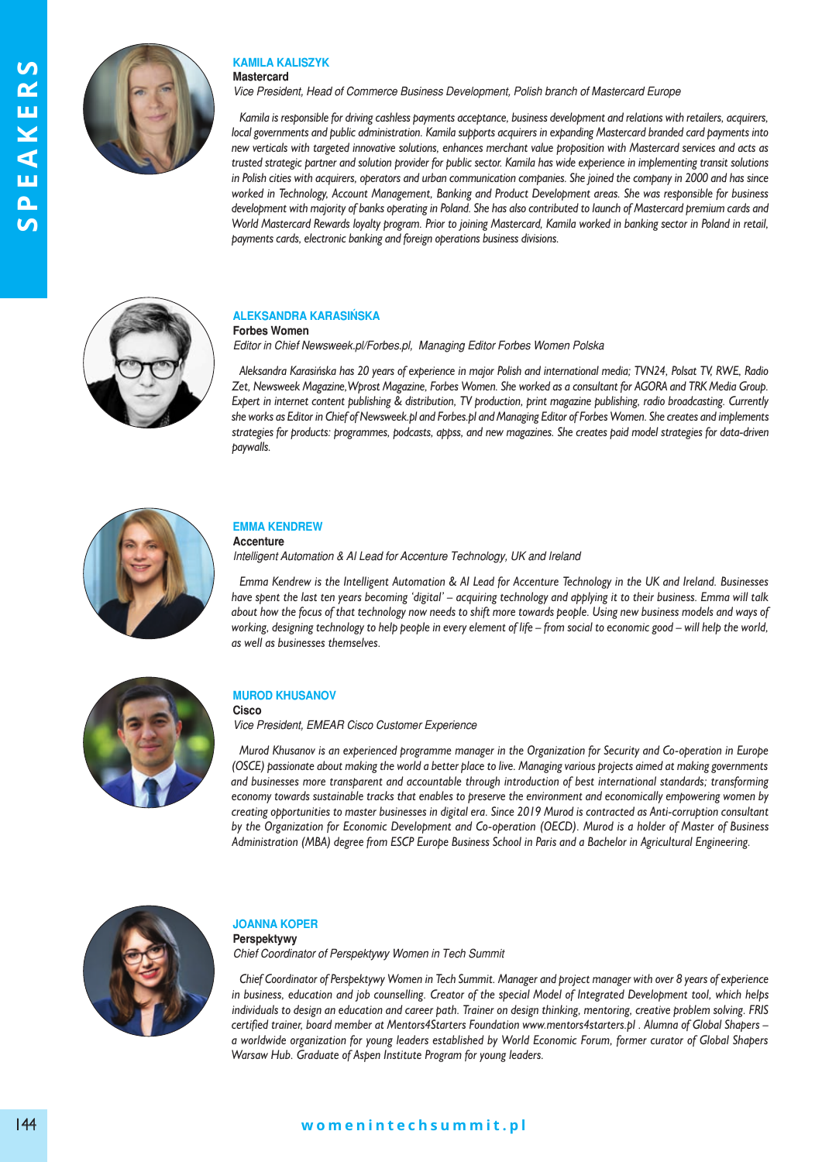



#### **kAmilA kAliszyk mastercard**

*Vice President, Head of Commerce Business Development, Polish branch of Mastercard Europe* 

*Kamila is responsible for driving cashless payments acceptance, business development and relations with retailers, acquirers, local governments and public administration. Kamila supports acquirers in expanding Mastercard branded card payments into new verticals with targeted innovative solutions, enhances merchant value proposition with Mastercard services and acts as trusted strategic partner and solution provider for public sector. Kamila has wide experience in implementing transit solutions in Polish cities with acquirers, operators and urban communication companies. She joined the company in 2000 and has since worked in Technology, Account Management, Banking and Product Development areas. She was responsible for business development with majority of banks operating in Poland. She has also contributed to launch of Mastercard premium cards and World Mastercard Rewards loyalty program. Prior to joining Mastercard, Kamila worked in banking sector in Poland in retail, payments cards, electronic banking and foreign operations business divisions.*



#### **AleksAndrA kArAsińskA Forbes women**

*Editor in Chief Newsweek.pl/Forbes.pl, Managing Editor Forbes Women Polska*

*Aleksandra Karasińska has 20 years of experience in major Polish and international media; TVN24, Polsat TV, RWE, Radio Zet, Newsweek Magazine,Wprost Magazine, Forbes Women. She worked as a consultant for AGORA and TRK Media Group. Expert in internet content publishing & distribution, TV production, print magazine publishing, radio broadcasting. Currently she works as Editor in Chief of Newsweek.pl and Forbes.pl and Managing Editor of Forbes Women. She creates and implements strategies for products: programmes, podcasts, appss, and new magazines. She creates paid model strategies for data-driven paywalls.*



## **emmA kendrew**

### **Accenture**

*Intelligent Automation & AI Lead for Accenture Technology, UK and Ireland* 

*Emma Kendrew is the Intelligent Automation & AI Lead for Accenture Technology in the UK and Ireland. Businesses have spent the last ten years becoming 'digital' – acquiring technology and applying it to their business. Emma will talk about how the focus of that technology now needs to shift more towards people. Using new business models and ways of working, designing technology to help people in every element of life – from social to economic good – will help the world, as well as businesses themselves.*



### **MUROD KHUSANOV**

**Cisco**

*Vice President, EMEAR Cisco Customer Experience* 

*Murod Khusanov is an experienced programme manager in the Organization for Security and Co-operation in Europe (OSCE) passionate about making the world a better place to live. Managing various projects aimed at making governments and businesses more transparent and accountable through introduction of best international standards; transforming economy towards sustainable tracks that enables to preserve the environment and economically empowering women by creating opportunities to master businesses in digital era. Since 2019 Murod is contracted as Anti-corruption consultant by the Organization for Economic Development and Co-operation (OECD). Murod is a holder of Master of Business Administration (MBA) degree from ESCP Europe Business School in Paris and a Bachelor in Agricultural Engineering.*



#### **JOAnnA kOPer Perspektywy**

*Chief Coordinator of Perspektywy Women in Tech Summit* 

*Chief Coordinator of Perspektywy Women in Tech Summit. Manager and project manager with over 8 years of experience in business, education and job counselling. Creator of the special Model of Integrated Development tool, which helps individuals to design an education and career path. Trainer on design thinking, mentoring, creative problem solving. FRIS certified trainer, board member at Mentors4Starters Foundation www.mentors4starters.pl . Alumna of Global Shapers – a worldwide organization for young leaders established by World Economic Forum, former curator of Global Shapers Warsaw Hub. Graduate of Aspen Institute Program for young leaders.*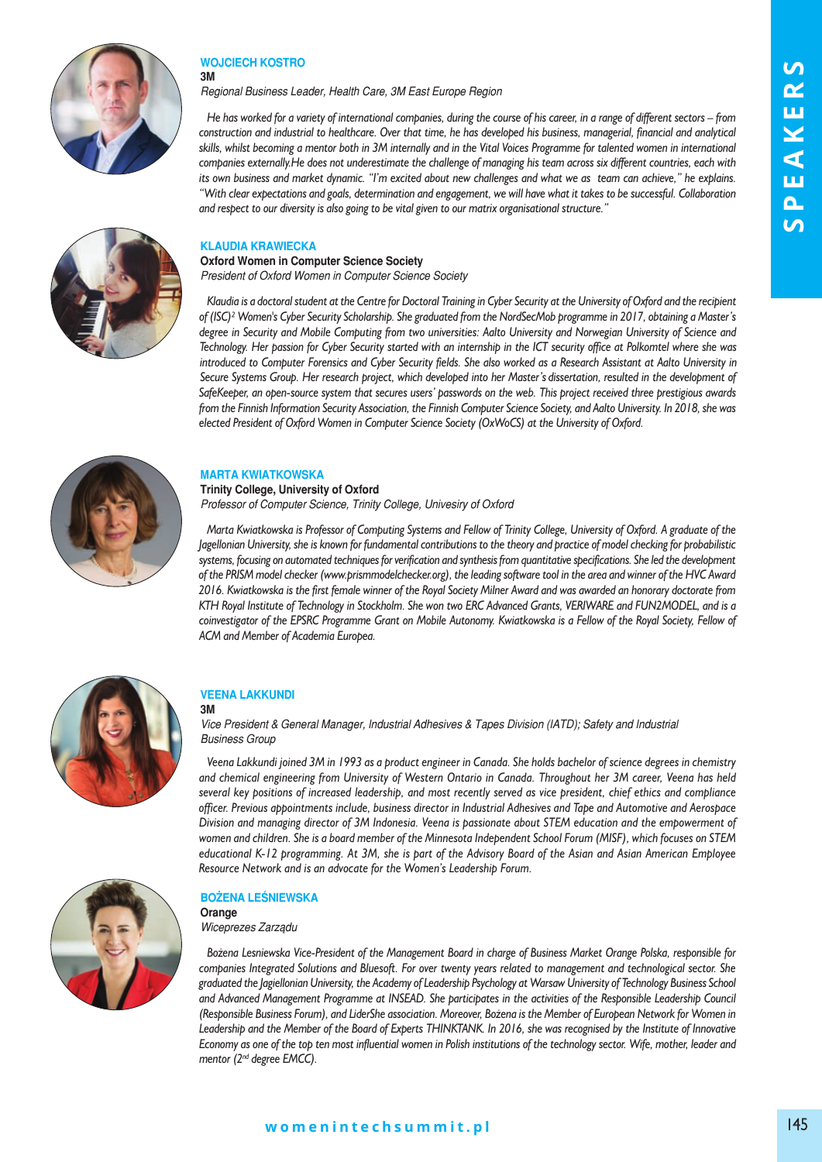

## **wOJCieCh kOstrO**

**3m**

*Regional Business Leader, Health Care, 3M East Europe Region* 

*He has worked for a variety of international companies, during the course of his career, in a range of different sectors – from construction and industrial to healthcare. Over that time, he has developed his business, managerial, financial and analytical skills, whilst becoming a mentor both in 3M internally and in the Vital Voices Programme for talented women in international companies externally.He does not underestimate the challenge of managing his team across six different countries, each with its own business and market dynamic. "I'm excited about new challenges and what we as team can achieve," he explains. "With clear expectations and goals, determination and engagement, we will have what it takes to be successful. Collaboration and respect to our diversity is also going to be vital given to our matrix organisational structure."*

### **klAudiA krAwieCkA**

**Oxford women in Computer science society** *President of Oxford Women in Computer Science Society* 

*Klaudia is a doctoral student at the Centre for Doctoral Training in Cyber Security at the University of Oxford and the recipient of (ISC)² Women's Cyber Security Scholarship. She graduated from the NordSecMob programme in 2017, obtaining a Master's degree in Security and Mobile Computing from two universities: Aalto University and Norwegian University of Science and Technology. Her passion for Cyber Security started with an internship in the ICT security office at Polkomtel where she was introduced to Computer Forensics and Cyber Security fields. She also worked as a Research Assistant at Aalto University in Secure Systems Group. Her research project, which developed into her Master's dissertation, resulted in the development of SafeKeeper, an open-source system that secures users' passwords on the web. This project received three prestigious awards from the Finnish Information Security Association, the Finnish Computer Science Society, and Aalto University. In 2018, she was elected President of Oxford Women in Computer Science Society (OxWoCS) at the University of Oxford.* 



#### **mArtA kwiAtkOwskA**

**Trinity College, University of Oxford** *Professor of Computer Science, Trinity College, Univesiry of Oxford* 

*Marta Kwiatkowska is Professor of Computing Systems and Fellow of Trinity College, University of Oxford. A graduate of the Jagellonian University, she is known for fundamental contributions to the theory and practice of model checking for probabilistic systems, focusing on automated techniques for verification and synthesis from quantitative specifications. She led the development of the PRISM model checker (www.prismmodelchecker.org), the leading software tool in the area and winner of the HVC Award 2016. Kwiatkowska is the first female winner of the Royal Society Milner Award and was awarded an honorary doctorate from KTH Royal Institute of Technology in Stockholm. She won two ERC Advanced Grants, VERIWARE and FUN2MODEL, and is a coinvestigator of the EPSRC Programme Grant on Mobile Autonomy. Kwiatkowska is a Fellow of the Royal Society, Fellow of ACM and Member of Academia Europea.*



#### **VeenA lAkkundi 3m**

*Vice President & General Manager, Industrial Adhesives & Tapes Division (IATD); Safety and Industrial Business Group* 

*Veena Lakkundi joined 3M in 1993 as a product engineer in Canada. She holds bachelor of science degrees in chemistry and chemical engineering from University of Western Ontario in Canada. Throughout her 3M career, Veena has held several key positions of increased leadership, and most recently served as vice president, chief ethics and compliance officer. Previous appointments include, business director in Industrial Adhesives and Tape and Automotive and Aerospace Division and managing director of 3M Indonesia. Veena is passionate about STEM education and the empowerment of women and children. She is a board member of the Minnesota Independent School Forum (MISF), which focuses on STEM educational K-12 programming. At 3M, she is part of the Advisory Board of the Asian and Asian American Employee Resource Network and is an advocate for the Women's Leadership Forum.* 

## **BOżenA leśniewskA**

**Orange** *Wiceprezes Zarządu* 

*Bożena Lesniewska Vice-President of the Management Board in charge of Business Market Orange Polska, responsible for companies Integrated Solutions and Bluesoft. For over twenty years related to management and technological sector. She graduated the Jagiellonian University, the Academy of Leadership Psychology at Warsaw University of Technology Business School and Advanced Management Programme at INSEAD. She participates in the activities of the Responsible Leadership Council (Responsible Business Forum), and LiderShe association. Moreover, Bożena is the Member of European Network for Women in Leadership and the Member of the Board of Experts THINKTANK. In 2016, she was recognised by the Institute of Innovative Economy as one of the top ten most influential women in Polish institutions of the technology sector. Wife, mother, leader and mentor (2nd degree EMCC).* 

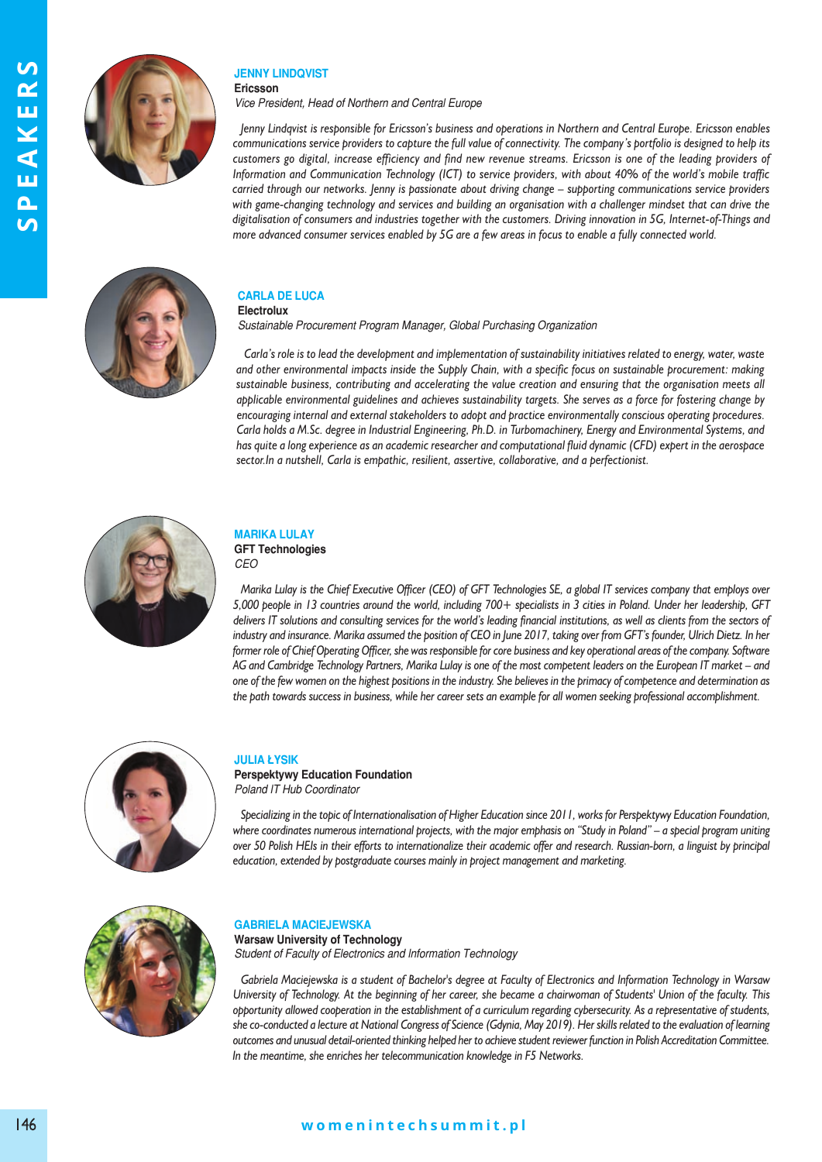

#### **Jenny lindQVist ericsson**

*Vice President, Head of Northern and Central Europe* 

*Jenny Lindqvist is responsible for Ericsson's business and operations in Northern and Central Europe. Ericsson enables communications service providers to capture the full value of connectivity. The company's portfolio is designed to help its customers go digital, increase efficiency and find new revenue streams. Ericsson is one of the leading providers of Information and Communication Technology (ICT) to service providers, with about 40% of the world's mobile traffic carried through our networks. Jenny is passionate about driving change – supporting communications service providers with game-changing technology and services and building an organisation with a challenger mindset that can drive the digitalisation of consumers and industries together with the customers. Driving innovation in 5G, Internet-of-Things and more advanced consumer services enabled by 5G are a few areas in focus to enable a fully connected world.*



#### **CArlA de luCA electrolux**

*Sustainable Procurement Program Manager, Global Purchasing Organization* 

*Carla's role is to lead the development and implementation of sustainability initiatives related to energy, water, waste and other environmental impacts inside the Supply Chain, with a specific focus on sustainable procurement: making sustainable business, contributing and accelerating the value creation and ensuring that the organisation meets all applicable environmental guidelines and achieves sustainability targets. She serves as a force for fostering change by encouraging internal and external stakeholders to adopt and practice environmentally conscious operating procedures. Carla holds a M.Sc. degree in Industrial Engineering, Ph.D. in Turbomachinery, Energy and Environmental Systems, and has quite a long experience as an academic researcher and computational fluid dynamic (CFD) expert in the aerospace sector.In a nutshell, Carla is empathic, resilient, assertive, collaborative, and a perfectionist.* 



# **mArikA lulAy**

#### **GFt technologies** *CEO*

*Marika Lulay is the Chief Executive Officer (CEO) of GFT Technologies SE, a global IT services company that employs over 5,000 people in 13 countries around the world, including 700+ specialists in 3 cities in Poland. Under her leadership, GFT delivers IT solutions and consulting services for the world's leading financial institutions, as well as clients from the sectors of industry and insurance. Marika assumed the position of CEO in June 2017, taking over from GFT's founder, Ulrich Dietz. In her former role of Chief Operating Officer, she was responsible for core business and key operational areas of the company. Software AG and Cambridge Technology Partners, Marika Lulay is one of the most competent leaders on the European IT market – and one of the few women on the highest positions in the industry. She believes in the primacy of competence and determination as the path towards success in business, while her career sets an example for all women seeking professional accomplishment.*



#### **JuliA łysik**

**Perspektywy Education Foundation** *Poland IT Hub Coordinator* 

*Specializing in the topic of Internationalisation of Higher Education since 2011, works for Perspektywy Education Foundation, where coordinates numerous international projects, with the major emphasis on "Study in Poland" – a special program uniting over 50 Polish HEIs in their efforts to internationalize their academic offer and research. Russian-born, a linguist by principal education, extended by postgraduate courses mainly in project management and marketing.*



## **GABrielA mACieJewskA**

**Warsaw University of Technology** *Student of Faculty of Electronics and Information Technology* 

*Gabriela Maciejewska is a student of Bachelor's degree at Faculty of Electronics and Information Technology in Warsaw University of Technology. At the beginning of her career, she became a chairwoman of Students' Union of the faculty. This opportunity allowed cooperation in the establishment of a curriculum regarding cybersecurity. As a representative of students, she co-conducted a lecture at National Congress of Science (Gdynia, May 2019). Her skills related to the evaluation of learning outcomes and unusual detail-oriented thinking helped her to achieve student reviewer function in Polish Accreditation Committee. In the meantime, she enriches her telecommunication knowledge in F5 Networks.*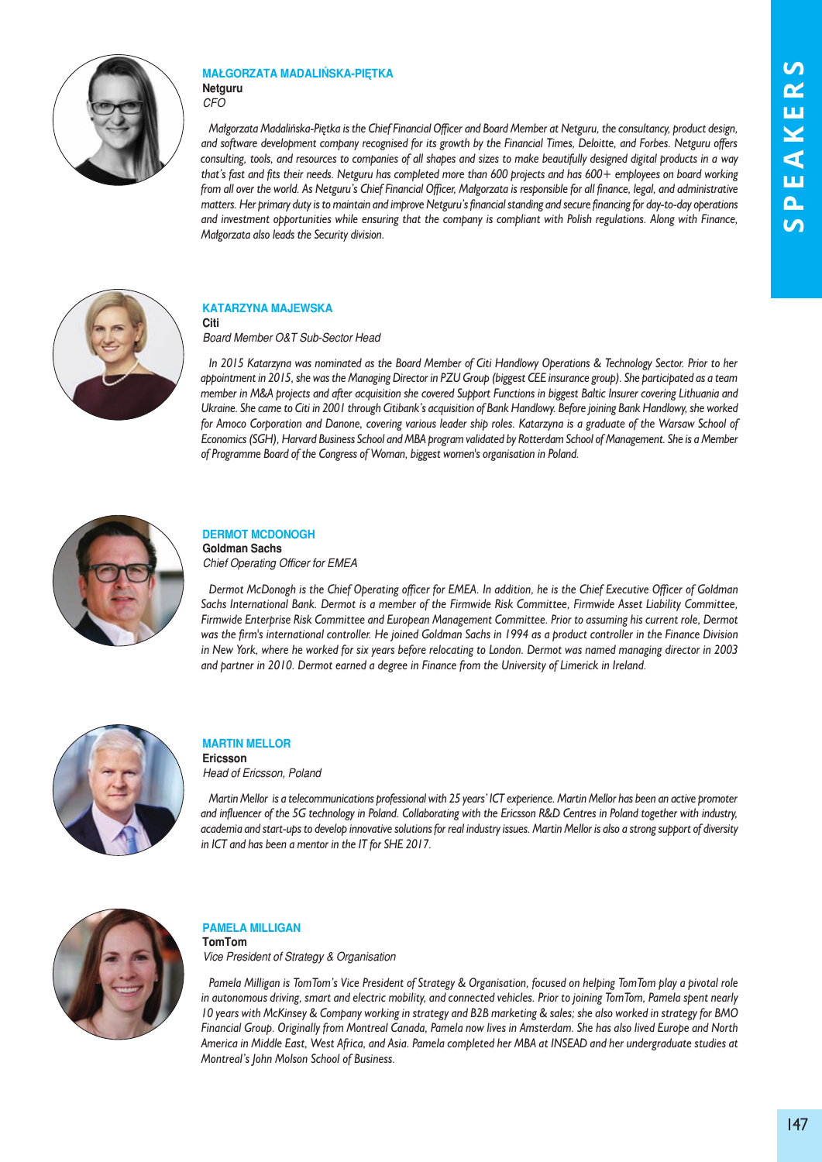

## **mAłGOrzAtA mAdAlińskA-PiętkA netguru**

*CFO* 

*Małgorzata Madalińska-Piętka is the Chief Financial Officer and Board Member at Netguru, the consultancy, product design, and software development company recognised for its growth by the Financial Times, Deloitte, and Forbes. Netguru offers consulting, tools, and resources to companies of all shapes and sizes to make beautifully designed digital products in a way that's fast and fits their needs. Netguru has completed more than 600 projects and has 600+ employees on board working from all over the world. As Netguru's Chief Financial Officer, Małgorzata is responsible for all finance, legal, and administrative matters. Her primary duty is to maintain and improve Netguru's financial standing and secure financing for day-to-day operations and investment opportunities while ensuring that the company is compliant with Polish regulations. Along with Finance, Małgorzata also leads the Security division.* 



### **kAtArzynA mAJewskA Citi**

*Board Member O&T Sub-Sector Head* 

*In 2015 Katarzyna was nominated as the Board Member of Citi Handlowy Operations & Technology Sector. Prior to her appointment in 2015, she was the Managing Director in PZU Group (biggest CEE insurance group). She participated as a team member in M&A projects and after acquisition she covered Support Functions in biggest Baltic Insurer covering Lithuania and Ukraine. She came to Citi in 2001 through Citibank's acquisition of Bank Handlowy. Before joining Bank Handlowy, she worked for Amoco Corporation and Danone, covering various leader ship roles. Katarzyna is a graduate of the Warsaw School of Economics (SGH), Harvard Business School and MBA program validated by Rotterdam School of Management. She is a Member of Programme Board of the Congress of Woman, biggest women's organisation in Poland.*



# **DERMOT MCDONOGH**

**Goldman sachs** *Chief Operating Officer for EMEA* 

*Dermot McDonogh is the Chief Operating officer for EMEA. In addition, he is the Chief Executive Officer of Goldman Sachs International Bank. Dermot is a member of the Firmwide Risk Committee, Firmwide Asset Liability Committee, Firmwide Enterprise Risk Committee and European Management Committee. Prior to assuming his current role, Dermot was the firm's international controller. He joined Goldman Sachs in 1994 as a product controller in the Finance Division in New York, where he worked for six years before relocating to London. Dermot was named managing director in 2003 and partner in 2010. Dermot earned a degree in Finance from the University of Limerick in Ireland.*



# **mArtin mellOr**

**ericsson** *Head of Ericsson, Poland* 

*Martin Mellor is a telecommunications professional with 25 years' ICT experience. Martin Mellor has been an active promoter and influencer of the 5G technology in Poland. Collaborating with the Ericsson R&D Centres in Poland together with industry, academia and start-ups to develop innovative solutions for real industry issues. Martin Mellor is also a strong support of diversity in ICT and has been a mentor in the IT for SHE 2017.*



## **PAmelA milliGAn tomtom**

*Vice President of Strategy & Organisation* 

*Pamela Milligan is TomTom's Vice President of Strategy & Organisation, focused on helping TomTom play a pivotal role in autonomous driving, smart and electric mobility, and connected vehicles. Prior to joining TomTom, Pamela spent nearly 10 years with McKinsey & Company working in strategy and B2B marketing & sales; she also worked in strategy for BMO Financial Group. Originally from Montreal Canada, Pamela now lives in Amsterdam. She has also lived Europe and North America in Middle East, West Africa, and Asia. Pamela completed her MBA at INSEAD and her undergraduate studies at Montreal's John Molson School of Business.*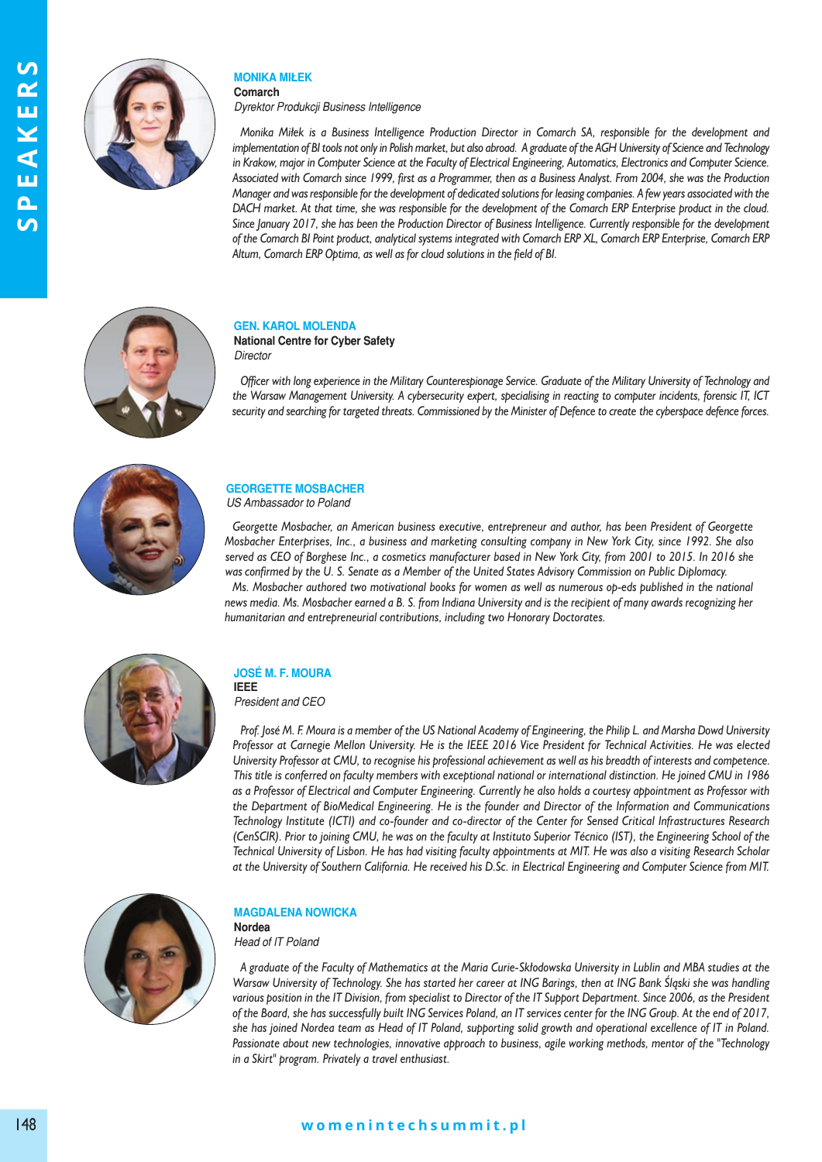

#### **mOnikA miłek Comarch**

*Dyrektor Produkcji Business Intelligence* 

*Monika Miłek is a Business Intelligence Production Director in Comarch SA, responsible for the development and implementation of BI tools not only in Polish market, but also abroad. A graduate of the AGH University of Science and Technology in Krakow, major in Computer Science at the Faculty of Electrical Engineering, Automatics, Electronics and Computer Science. Associated with Comarch since 1999, first as a Programmer, then as a Business Analyst. From 2004, she was the Production Manager and was responsible for the development of dedicated solutions for leasing companies. A few years associated with the DACH market. At that time, she was responsible for the development of the Comarch ERP Enterprise product in the cloud. Since January 2017, she has been the Production Director of Business Intelligence. Currently responsible for the development of the Comarch BI Point product, analytical systems integrated with Comarch ERP XL, Comarch ERP Enterprise, Comarch ERP Altum, Comarch ERP Optima, as well as for cloud solutions in the field of BI.*



### **Gen. kArOl mOlendA**

**National Centre for Cyber Safety** *Director* 

*Officer with long experience in the Military Counterespionage Service. Graduate of the Military University of Technology and the Warsaw Management University. A cybersecurity expert, specialising in reacting to computer incidents, forensic IT, ICT security and searching for targeted threats. Commissioned by the Minister of Defence to create the cyberspace defence forces.* 



### **GeOrGette mOsBACher** *US Ambassador to Poland*

Georgette Mosbacher, an American business executive, entrepreneur and author, has been President of Georgette *Mosbacher Enterprises, Inc., a business and marketing consulting company in New York City, since 1992. She also* served as CEO of Borghese Inc., a cosmetics manufacturer based in New York City, from 2001 to 2015. In 2016 she was confirmed by the U. S. Senate as a Member of the United States Advisory Commission on Public Diplomacy.

*Ms. Mosbacher authored two motivational books for women as well as numerous op-eds published in the national news media. Ms. Mosbacher earned a B. S. from Indiana University and is the recipient of many awards recognizing her humanitarian and entrepreneurial contributions, including two Honorary Doctorates.* 



#### **JOsé m. F. mOurA ieee**

*President and CEO* 

*Prof. José M. F. Moura is a member of the US National Academy of Engineering, the Philip L. and Marsha Dowd University Professor at Carnegie Mellon University. He is the IEEE 2016 Vice President for Technical Activities. He was elected University Professor at CMU, to recognise his professional achievement as well as his breadth of interests and competence. This title is conferred on faculty members with exceptional national or international distinction. He joined CMU in 1986 as a Professor of Electrical and Computer Engineering. Currently he also holds a courtesy appointment as Professor with the Department of BioMedical Engineering. He is the founder and Director of the Information and Communications Technology Institute (ICTI) and co-founder and co-director of the Center for Sensed Critical Infrastructures Research (CenSCIR). Prior to joining CMU, he was on the faculty at Instituto Superior Técnico (IST), the Engineering School of the Technical University of Lisbon. He has had visiting faculty appointments at MIT. He was also a visiting Research Scholar at the University of Southern California. He received his D.Sc. in Electrical Engineering and Computer Science from MIT.*



## **mAGdAlenA nOwiCkA**

**nordea**  *Head of IT Poland* 

*A graduate of the Faculty of Mathematics at the Maria Curie-Skłodowska University in Lublin and MBA studies at the Warsaw University of Technology. She has started her career at ING Barings, then at ING Bank Śląski she was handling various position in the IT Division, from specialist to Director of the IT Support Department. Since 2006, as the President of the Board, she has successfully built ING Services Poland, an IT services center for the ING Group. At the end of 2017, she has joined Nordea team as Head of IT Poland, supporting solid growth and operational excellence of IT in Poland. Passionate about new technologies, innovative approach to business, agile working methods, mentor of the "Technology in a Skirt" program. Privately a travel enthusiast.* 

## **w o m e n i n t e c h s u m m i t . p l** 148 **w o m e n i n t e c h s u m m i t . p l**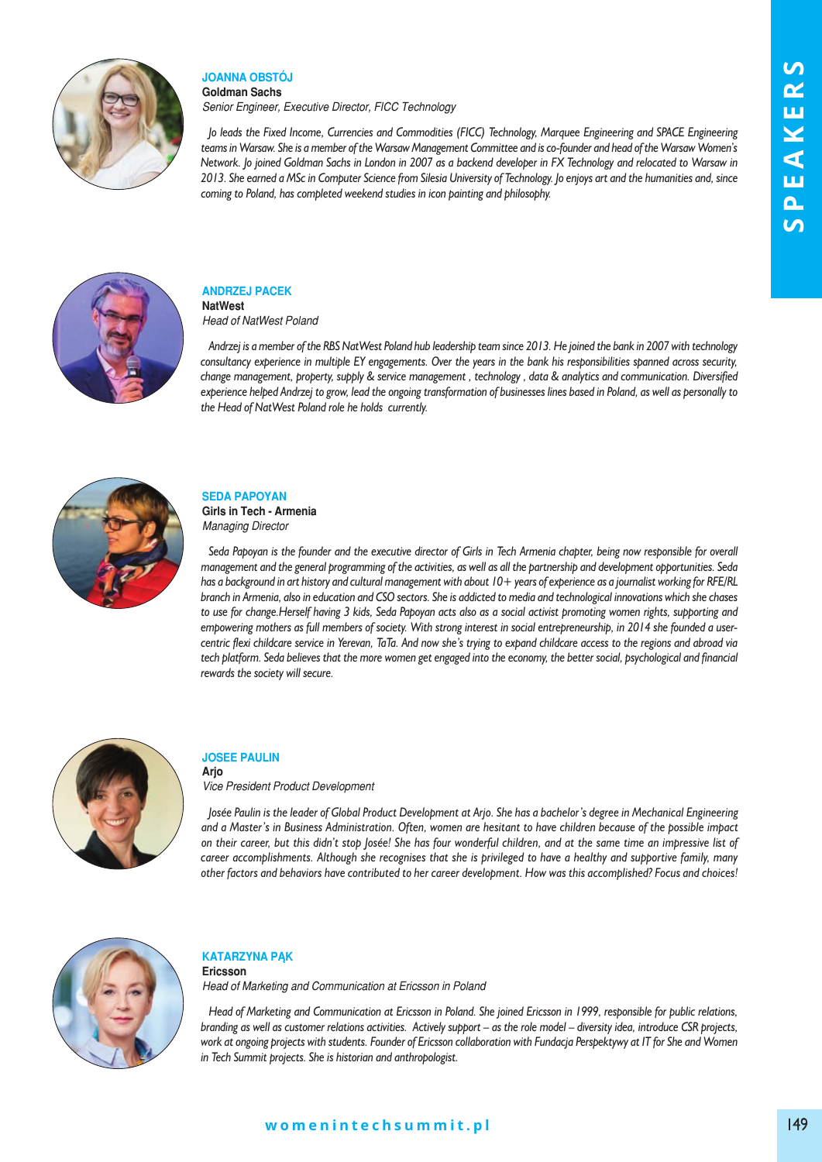

#### **JOAnnA OBstóJ Goldman sachs**

*Senior Engineer, Executive Director, FICC Technology* 

*Jo leads the Fixed Income, Currencies and Commodities (FICC) Technology, Marquee Engineering and SPACE Engineering teams in Warsaw. She is a member of the Warsaw Management Committee and is co-founder and head of the Warsaw Women's Network. Jo joined Goldman Sachs in London in 2007 as a backend developer in FX Technology and relocated to Warsaw in 2013. She earned a MSc in Computer Science from Silesia University of Technology. Jo enjoys art and the humanities and, since coming to Poland, has completed weekend studies in icon painting and philosophy.*



## **AndrzeJ PACek natwest**

*Head of NatWest Poland* 

*Andrzej is a member of the RBS NatWest Poland hub leadership team since 2013. He joined the bank in 2007 with technology consultancy experience in multiple EY engagements. Over the years in the bank his responsibilities spanned across security, change management, property, supply & service management , technology , data & analytics and communication. Diversified experience helped Andrzej to grow, lead the ongoing transformation of businesses lines based in Poland, as well as personally to the Head of NatWest Poland role he holds currently.*



### **sedA PAPOyAn**

**Girls in tech - Armenia**  *Managing Director* 

*Seda Papoyan is the founder and the executive director of Girls in Tech Armenia chapter, being now responsible for overall management and the general programming of the activities, as well as all the partnership and development opportunities. Seda has a background in art history and cultural management with about 10+ years of experience as a journalist working for RFE/RL branch in Armenia, also in education and CSO sectors. She is addicted to media and technological innovations which she chases to use for change.Herself having 3 kids, Seda Papoyan acts also as a social activist promoting women rights, supporting and empowering mothers as full members of society. With strong interest in social entrepreneurship, in 2014 she founded a usercentric flexi childcare service in Yerevan, TaTa. And now she's trying to expand childcare access to the regions and abroad via tech platform. Seda believes that the more women get engaged into the economy, the better social, psychological and financial rewards the society will secure.*



### **JOsee PAulin Arjo**

*Vice President Product Development*

*Josée Paulin is the leader of Global Product Development at Arjo. She has a bachelor's degree in Mechanical Engineering and a Master's in Business Administration. Often, women are hesitant to have children because of the possible impact on their career, but this didn't stop Josée! She has four wonderful children, and at the same time an impressive list of career accomplishments. Although she recognises that she is privileged to have a healthy and supportive family, many other factors and behaviors have contributed to her career development. How was this accomplished? Focus and choices!*



## **kAtArzynA Pąk**

**ericsson** *Head of Marketing and Communication at Ericsson in Poland* 

*Head of Marketing and Communication at Ericsson in Poland. She joined Ericsson in 1999, responsible for public relations, branding as well as customer relations activities. Actively support – as the role model – diversity idea, introduce CSR projects, work at ongoing projects with students. Founder of Ericsson collaboration with Fundacja Perspektywy at IT for She and Women in Tech Summit projects. She is historian and anthropologist.*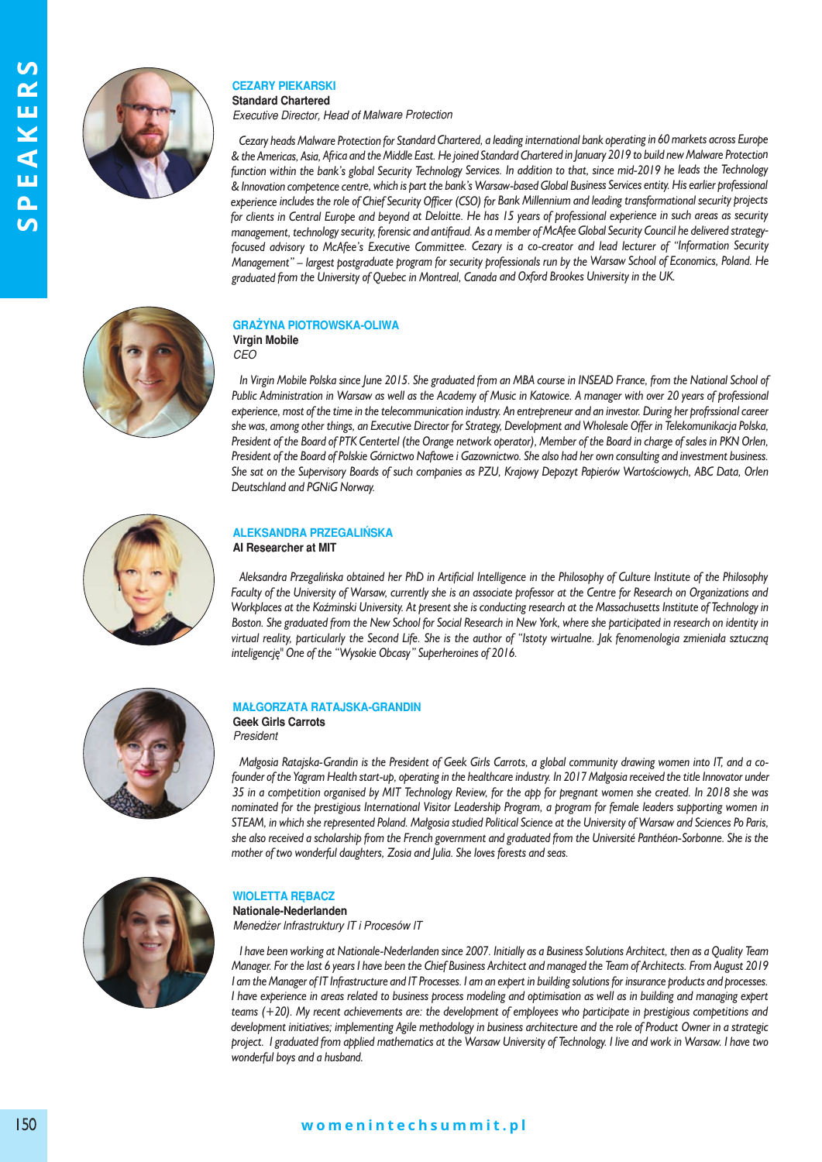

## **CezAry PiekArski**

**standard Chartered** *Executive Director, Head of Malware Protection* 

*Cezary heads Malware Protection for Standard Chartered, a leading international bank operating in 60 markets across Europe & the Americas, Asia, Africa and the Middle East. He joined Standard Chartered in January 2019 to build new Malware Protection function within the bank's global Security Technology Services. In addition to that, since mid-2019 he leads the Technology & Innovation competence centre, which is part the bank's Warsaw-based Global Business Services entity. His earlier professional experience includes the role of Chief Security Officer (CSO) for Bank Millennium and leading transformational security projects for clients in Central Europe and beyond at Deloitte. He has 15 years of professional experience in such areas as security management, technology security, forensic and antifraud. As a member of McAfee Global Security Council he delivered strategyfocused advisory to McAfee's Executive Committee. Cezary is a co-creator and lead lecturer of "Information Security Management" – largest postgraduate program for security professionals run by the Warsaw School of Economics, Poland. He graduated from the University of Quebec in Montreal, Canada and Oxford Brookes University in the UK.*



### **GrAżynA PiOtrOwskA-OliwA Virgin mobile**

*CEO* 

*In Virgin Mobile Polska since June 2015. She graduated from an MBA course in INSEAD France, from the National School of Public Administration in Warsaw as well as the Academy of Music in Katowice. A manager with over 20 years of professional experience, most of the time in the telecommunication industry. An entrepreneur and an investor. During her profrssional career she was, among other things, an Executive Director for Strategy, Development and Wholesale Offer in Telekomunikacja Polska, President of the Board of PTK Centertel (the Orange network operator), Member of the Board in charge of sales in PKN Orlen, President of the Board of Polskie Górnictwo Naftowe i Gazownictwo. She also had her own consulting and investment business. She sat on the Supervisory Boards of such companies as PZU, Krajowy Depozyt Papierów Wartościowych, ABC Data, Orlen Deutschland and PGNiG Norway.* 



### **AleksAndrA PrzeGAlińskA AI Researcher at MIT**

*Aleksandra Przegalińska obtained her PhD in Artificial Intelligence in the Philosophy of Culture Institute of the Philosophy Faculty of the University of Warsaw, currently she is an associate professor at the Centre for Research on Organizations and Workplaces at the Koźminski University. At present she is conducting research at the Massachusetts Institute of Technology in Boston. She graduated from the New School for Social Research in New York, where she participated in research on identity in virtual reality, particularly the Second Life. She is the author of "Istoty wirtualne. Jak fenomenologia zmieniała sztuczną inteligencję" One of the "Wysokie Obcasy" Superheroines of 2016.*



## **mAłGOrzAtA rAtAJskA-GrAndin**

**Geek Girls Carrots** *President* 

*Małgosia Ratajska-Grandin is the President of Geek Girls Carrots, a global community drawing women into IT, and a cofounder of the Yagram Health start-up, operating in the healthcare industry. In 2017 Małgosia received the title Innovator under 35 in a competition organised by MIT Technology Review, for the app for pregnant women she created. In 2018 she was nominated for the prestigious International Visitor Leadership Program, a program for female leaders supporting women in STEAM, in which she represented Poland. Małgosia studied Political Science at the University of Warsaw and Sciences Po Paris, she also received a scholarship from the French government and graduated from the Université Panthéon-Sorbonne. She is the mother of two wonderful daughters, Zosia and Julia. She loves forests and seas.*



## **wiOlettA ręBACz**

**nationale-nederlanden**  *Menedżer Infrastruktury IT i Procesów IT* 

*I have been working at Nationale-Nederlanden since 2007. Initially as a Business Solutions Architect, then as a Quality Team Manager. For the last 6 years I have been the Chief Business Architect and managed the Team of Architects. From August 2019 I am the Manager of IT Infrastructure and IT Processes. I am an expert in building solutions for insurance products and processes. I have experience in areas related to business process modeling and optimisation as well as in building and managing expert teams (+20). My recent achievements are: the development of employees who participate in prestigious competitions and development initiatives; implementing Agile methodology in business architecture and the role of Product Owner in a strategic project. I graduated from applied mathematics at the Warsaw University of Technology. I live and work in Warsaw. I have two wonderful boys and a husband.* 

# **w o m e n i n t e c h s u m m i t . p l** 150 **w o m e n i n t e c h s u m m i t . p l**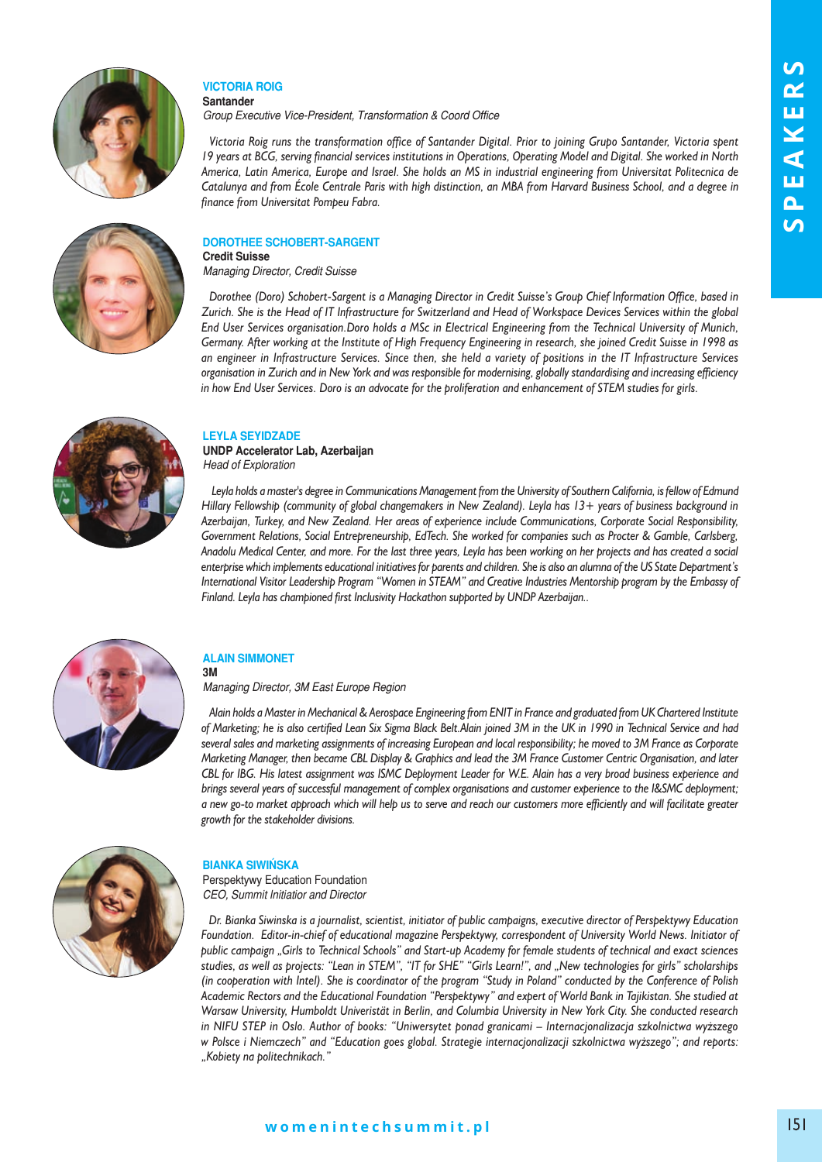



*Group Executive Vice-President, Transformation & Coord Office* 

*Victoria Roig runs the transformation office of Santander Digital. Prior to joining Grupo Santander, Victoria spent 19 years at BCG, serving financial services institutions in Operations, Operating Model and Digital. She worked in North America, Latin America, Europe and Israel. She holds an MS in industrial engineering from Universitat Politecnica de Catalunya and from École Centrale Paris with high distinction, an MBA from Harvard Business School, and a degree in finance from Universitat Pompeu Fabra.* 

### **dOrOthee sChOBert-sArGent Credit suisse**

*Managing Director, Credit Suisse* 

*Dorothee (Doro) Schobert-Sargent is a Managing Director in Credit Suisse's Group Chief Information Office, based in Zurich. She is the Head of IT Infrastructure for Switzerland and Head of Workspace Devices Services within the global End User Services organisation.Doro holds a MSc in Electrical Engineering from the Technical University of Munich, Germany. After working at the Institute of High Frequency Engineering in research, she joined Credit Suisse in 1998 as an engineer in Infrastructure Services. Since then, she held a variety of positions in the IT Infrastructure Services organisation in Zurich and in New York and was responsible for modernising, globally standardising and increasing efficiency in how End User Services. Doro is an advocate for the proliferation and enhancement of STEM studies for girls.* 



### **leylA seyidzAde**

**undP Accelerator lab, Azerbaijan** *Head of Exploration* 

*Leyla holds a master's degree in Communications Management from the University of Southern California, is fellow of Edmund Hillary Fellowship (community of global changemakers in New Zealand). Leyla has 13+ years of business background in Azerbaijan, Turkey, and New Zealand. Her areas of experience include Communications, Corporate Social Responsibility, Government Relations, Social Entrepreneurship, EdTech. She worked for companies such as Procter & Gamble, Carlsberg, Anadolu Medical Center, and more. For the last three years, Leyla has been working on her projects and has created a social enterprise which implements educational initiatives for parents and children. She is also an alumna of the US State Department's International Visitor Leadership Program "Women in STEAM" and Creative Industries Mentorship program by the Embassy of Finland. Leyla has championed first Inclusivity Hackathon supported by UNDP Azerbaijan..* 



#### **AlAin simmOnet 3m**

*Managing Director, 3M East Europe Region* 

*Alain holds a Master in Mechanical & Aerospace Engineering from ENIT in France and graduated from UK Chartered Institute of Marketing; he is also certified Lean Six Sigma Black Belt.Alain joined 3M in the UK in 1990 in Technical Service and had several sales and marketing assignments of increasing European and local responsibility; he moved to 3M France as Corporate Marketing Manager, then became CBL Display & Graphics and lead the 3M France Customer Centric Organisation, and later CBL for IBG. His latest assignment was ISMC Deployment Leader for W.E. Alain has a very broad business experience and brings several years of successful management of complex organisations and customer experience to the I&SMC deployment; a new go-to market approach which will help us to serve and reach our customers more efficiently and will facilitate greater growth for the stakeholder divisions.*



### **BiAnkA siwińskA**

Perspektywy Education Foundation *CEO, Summit Initiatior and Director*

*Dr. Bianka Siwinska is a journalist, scientist, initiator of public campaigns, executive director of Perspektywy Education Foundation. Editor-in-chief of educational magazine Perspektywy, correspondent of University World News. Initiator of public campaign "Girls to Technical Schools" and Start-up Academy for female students of technical and exact sciences studies, as well as projects: "Lean in STEM", "IT for SHE" "Girls Learn!", and "New technologies for girls" scholarships (in cooperation with Intel). She is coordinator of the program "Study in Poland" conducted by the Conference of Polish Academic Rectors and the Educational Foundation "Perspektywy" and expert of World Bank in Tajikistan. She studied at Warsaw University, Humboldt Univeristät in Berlin, and Columbia University in New York City. She conducted research in NIFU STEP in Oslo. Author of books: "Uniwersytet ponad granicami – Internacjonalizacja szkolnictwa wyższego w Polsce i Niemczech" and "Education goes global. Strategie internacjonalizacji szkolnictwa wyższego"; and reports: "Kobiety na politechnikach."*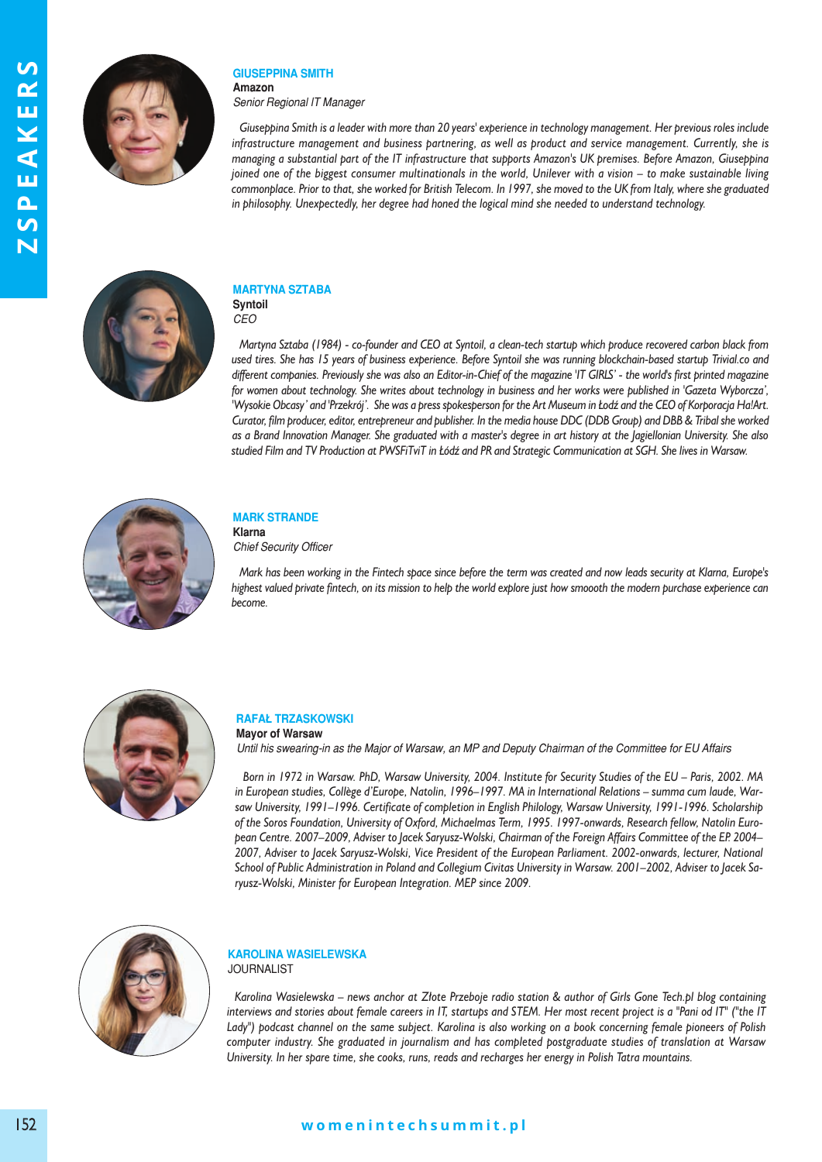

#### **GiusePPinA smith Amazon**

*Senior Regional IT Manager* 

*Giuseppina Smith is a leader with more than 20 years' experience in technology management. Her previous roles include infrastructure management and business partnering, as well as product and service management. Currently, she is managing a substantial part of the IT infrastructure that supports Amazon's UK premises. Before Amazon, Giuseppina joined one of the biggest consumer multinationals in the world, Unilever with a vision – to make sustainable living commonplace. Prior to that, she worked for British Telecom. In 1997, she moved to the UK from Italy, where she graduated in philosophy. Unexpectedly, her degree had honed the logical mind she needed to understand technology.*



#### **mArtynA sztABA syntoil**



*Martyna Sztaba (1984) - co-founder and CEO at Syntoil, a clean-tech startup which produce recovered carbon black from used tires. She has 15 years of business experience. Before Syntoil she was running blockchain-based startup Trivial.co and different companies. Previously she was also an Editor-in-Chief of the magazine 'IT GIRLS' - the world's first printed magazine for women about technology. She writes about technology in business and her works were published in 'Gazeta Wyborcza', 'Wysokie Obcasy' and 'Przekrój'. She was a press spokesperson for the Art Museum in Łodź and the CEO of Korporacja Ha!Art. Curator, film producer, editor, entrepreneur and publisher. In the media house DDC (DDB Group) and DBB & Tribal she worked as a Brand Innovation Manager. She graduated with a master's degree in art history at the Jagiellonian University. She also studied Film and TV Production at PWSFiTviT in Łódź and PR and Strategic Communication at SGH. She lives in Warsaw.*



#### **mArk strAnde klarna**

*Chief Security Officer* 

*Mark has been working in the Fintech space since before the term was created and now leads security at Klarna, Europe's highest valued private fintech, on its mission to help the world explore just how smoooth the modern purchase experience can become.*



#### **rAFAł trzAskOwski mayor of warsaw**

*Until his swearing-in as the Major of Warsaw, an MP and Deputy Chairman of the Committee for EU Affairs*

Born in 1972 in Warsaw. PhD, Warsaw University, 2004. Institute for Security Studies of the EU - Paris, 2002. MA in European studies, Collège d'Europe, Natolin, 1996–1997. MA in International Relations – summa cum laude, Warsaw University, 1991–1996. Certificate of completion in English Philology, Warsaw University, 1991-1996. Scholarship of the Soros Foundation, University of Oxford, Michaelmas Term, 1995. 1997-onwards, Research fellow, Natolin European Centre. 2007–2009, Adviser to Jacek Saryusz-Wolski, Chairman of the Foreign Affairs Committee of the EP. 2004– 2007, Adviser to Jacek Saryusz-Wolski, Vice President of the European Parliament. 2002-onwards, lecturer, National School of Public Administration in Poland and Collegium Civitas University in Warsaw. 2001–2002, Adviser to Jacek Sary usz-Wolski, Minister for European Integration. MEP since 2009.



### **kArOlinA wAsielewskA JOURNALIST**

*Karolina Wasielewska – news anchor at Złote Przeboje radio station & author of Girls Gone Tech.pl blog containing interviews and stories about female careers in IT, startups and STEM. Her most recent project is a "Pani od IT" ("the IT Lady") podcast channel on the same subject. Karolina is also working on a book concerning female pioneers of Polish computer industry. She graduated in journalism and has completed postgraduate studies of translation at Warsaw University. In her spare time, she cooks, runs, reads and recharges her energy in Polish Tatra mountains.*

# **w o m e n i n t e c h s u m m i t . p l** 152 **w o m e n i n t e c h s u m m i t . p l**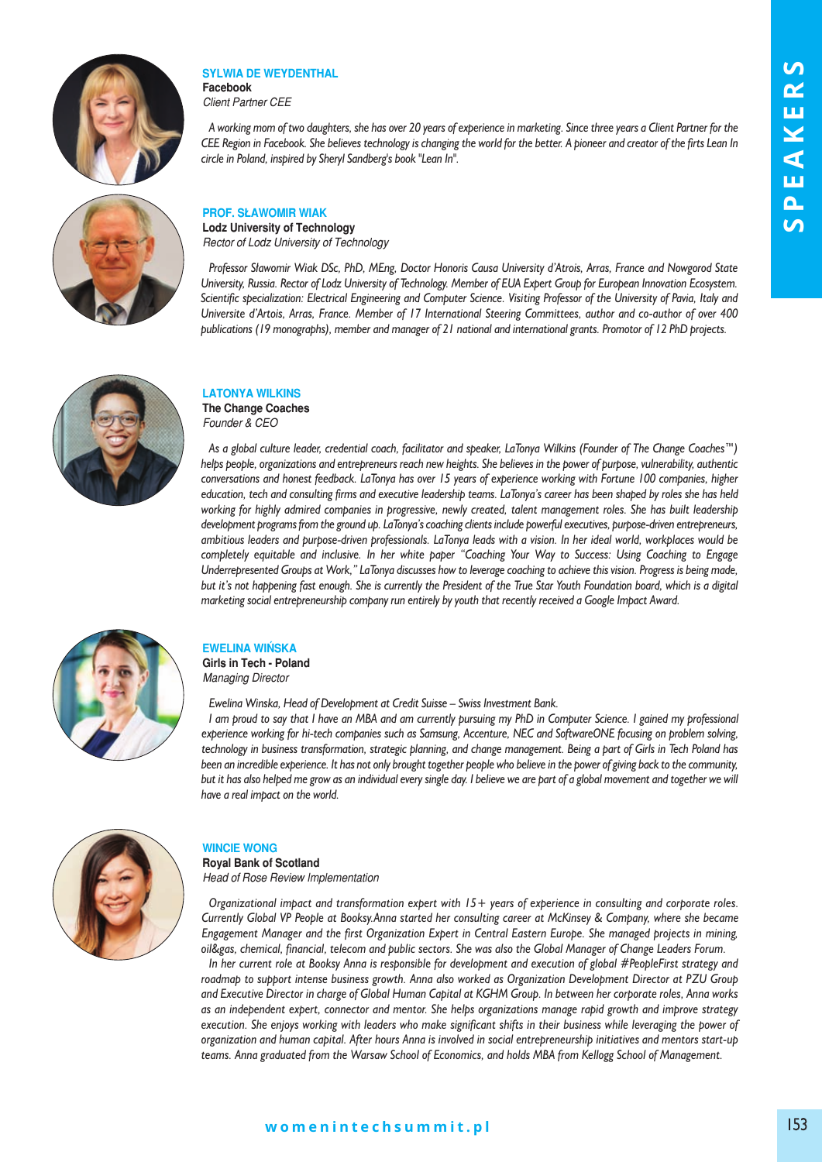

#### **sylwiA de weydenthAl Facebook**

*Client Partner CEE*

*A working mom of two daughters, she has over 20 years of experience in marketing. Since three years a Client Partner for the CEE Region in Facebook. She believes technology is changing the world for the better. A pioneer and creator of the firts Lean In circle in Poland, inspired by Sheryl Sandberg's book "Lean In".*



# **PrOF. słAwOmir wiAk**

**Lodz University of Technology** *Rector of Lodz University of Technology* 

*Professor Sławomir Wiak DSc, PhD, MEng, Doctor Honoris Causa University d'Atrois, Arras, France and Nowgorod State University, Russia. Rector of Lodz University of Technology. Member of EUA Expert Group for European Innovation Ecosystem. Scientific specialization: Electrical Engineering and Computer Science. Visiting Professor of the University of Pavia, Italy and Universite d'Artois, Arras, France. Member of 17 International Steering Committees, author and co-author of over 400 publications (19 monographs), member and manager of 21 national and international grants. Promotor of 12 PhD projects.*



## **lAtOnyA wilkins the Change Coaches**

*Founder & CEO* 

*As a global culture leader, credential coach, facilitator and speaker, LaTonya Wilkins (Founder of The Change Coaches™) helps people, organizations and entrepreneurs reach new heights. She believes in the power of purpose, vulnerability, authentic conversations and honest feedback. LaTonya has over 15 years of experience working with Fortune 100 companies, higher education, tech and consulting firms and executive leadership teams. LaTonya's career has been shaped by roles she has held working for highly admired companies in progressive, newly created, talent management roles. She has built leadership development programs from the ground up. LaTonya's coaching clients include powerful executives, purpose-driven entrepreneurs, ambitious leaders and purpose-driven professionals. LaTonya leads with a vision. In her ideal world, workplaces would be completely equitable and inclusive. In her white paper "Coaching Your Way to Success: Using Coaching to Engage Underrepresented Groups at Work," LaTonya discusses how to leverage coaching to achieve this vision. Progress is being made, but it's not happening fast enough. She is currently the President of the True Star Youth Foundation board, which is a digital marketing social entrepreneurship company run entirely by youth that recently received a Google Impact Award.*



# **ewelinA wińskA**

**Girls in Tech - Poland** *Managing Director* 

*Ewelina Winska, Head of Development at Credit Suisse – Swiss Investment Bank.* 

*I am proud to say that I have an MBA and am currently pursuing my PhD in Computer Science. I gained my professional experience working for hi-tech companies such as Samsung, Accenture, NEC and SoftwareONE focusing on problem solving, technology in business transformation, strategic planning, and change management. Being a part of Girls in Tech Poland has been an incredible experience. It has not only brought together people who believe in the power of giving back to the community, but it has also helped me grow as an individual every single day. I believe we are part of a global movement and together we will have a real impact on the world.*



## **winCie wOnG**

**royal Bank of scotland** *Head of Rose Review Implementation* 

*Organizational impact and transformation expert with 15+ years of experience in consulting and corporate roles. Currently Global VP People at Booksy.Anna started her consulting career at McKinsey & Company, where she became Engagement Manager and the first Organization Expert in Central Eastern Europe. She managed projects in mining, oil&gas, chemical, financial, telecom and public sectors. She was also the Global Manager of Change Leaders Forum.* 

*In her current role at Booksy Anna is responsible for development and execution of global #PeopleFirst strategy and roadmap to support intense business growth. Anna also worked as Organization Development Director at PZU Group and Executive Director in charge of Global Human Capital at KGHM Group. In between her corporate roles, Anna works as an independent expert, connector and mentor. She helps organizations manage rapid growth and improve strategy execution. She enjoys working with leaders who make significant shifts in their business while leveraging the power of organization and human capital. After hours Anna is involved in social entrepreneurship initiatives and mentors start-up teams. Anna graduated from the Warsaw School of Economics, and holds MBA from Kellogg School of Management.*